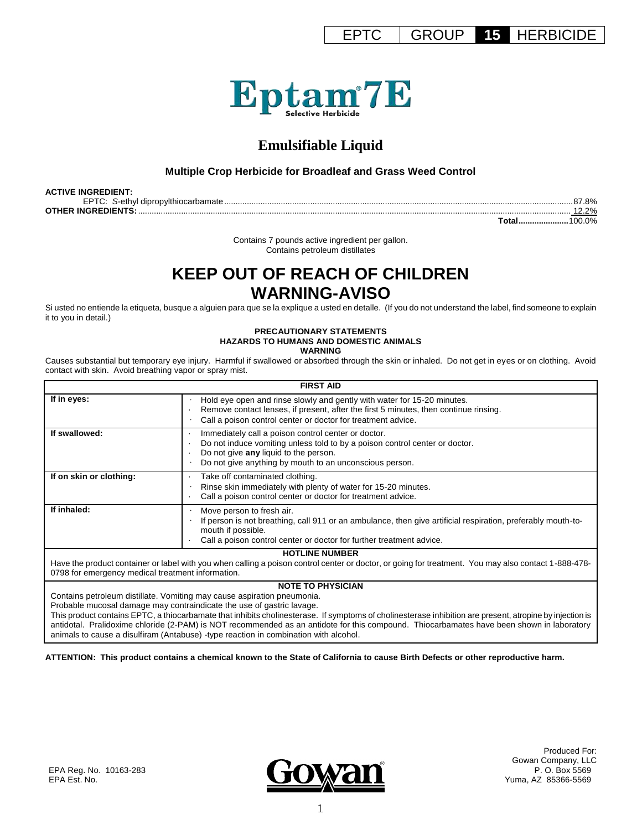EPTC GROUP **15** HERBICIDE



# **Emulsifiable Liquid**

## **Multiple Crop Herbicide for Broadleaf and Grass Weed Control**

| <b>ACTIVE INGREDIENT:</b> |             |
|---------------------------|-------------|
|                           | 7.8%        |
| <b>OTHER INGREDIENTS:</b> | $2.2\%$     |
|                           | Total100.0% |

Contains 7 pounds active ingredient per gallon. Contains petroleum distillates

# **KEEP OUT OF REACH OF CHILDREN WARNING-AVISO**

Si usted no entiende la etiqueta, busque a alguien para que se la explique a usted en detalle. (If you do not understand the label, find someone to explain it to you in detail.)

#### **PRECAUTIONARY STATEMENTS HAZARDS TO HUMANS AND DOMESTIC ANIMALS WARNING**

Causes substantial but temporary eye injury. Harmful if swallowed or absorbed through the skin or inhaled. Do not get in eyes or on clothing. Avoid contact with skin. Avoid breathing vapor or spray mist.

| <b>FIRST AID</b>                                                                                                                                         |                                                                                                                                                                                                                                         |  |  |  |
|----------------------------------------------------------------------------------------------------------------------------------------------------------|-----------------------------------------------------------------------------------------------------------------------------------------------------------------------------------------------------------------------------------------|--|--|--|
| If in eyes:                                                                                                                                              | Hold eye open and rinse slowly and gently with water for 15-20 minutes.<br>Remove contact lenses, if present, after the first 5 minutes, then continue rinsing.<br>Call a poison control center or doctor for treatment advice.         |  |  |  |
| If swallowed:                                                                                                                                            | Immediately call a poison control center or doctor.<br>Do not induce vomiting unless told to by a poison control center or doctor.<br>Do not give any liquid to the person.<br>Do not give anything by mouth to an unconscious person.  |  |  |  |
| If on skin or clothing:                                                                                                                                  | Take off contaminated clothing.<br>Rinse skin immediately with plenty of water for 15-20 minutes.<br>Call a poison control center or doctor for treatment advice.                                                                       |  |  |  |
| If inhaled:                                                                                                                                              | Move person to fresh air.<br>If person is not breathing, call 911 or an ambulance, then give artificial respiration, preferably mouth-to-<br>mouth if possible.<br>Call a poison control center or doctor for further treatment advice. |  |  |  |
|                                                                                                                                                          | <b>HOTLINE NUMBER</b>                                                                                                                                                                                                                   |  |  |  |
| 0798 for emergency medical treatment information.                                                                                                        | Have the product container or label with you when calling a poison control center or doctor, or going for treatment. You may also contact 1-888-478-                                                                                    |  |  |  |
|                                                                                                                                                          | <b>NOTE TO PHYSICIAN</b>                                                                                                                                                                                                                |  |  |  |
|                                                                                                                                                          | Contains petroleum distillate. Vomiting may cause aspiration pneumonia.                                                                                                                                                                 |  |  |  |
|                                                                                                                                                          | Probable mucosal damage may contraindicate the use of gastric lavage.                                                                                                                                                                   |  |  |  |
| This product contains EPTC, a thiocarbamate that inhibits cholinesterase. If symptoms of cholinesterase inhibition are present, atropine by injection is |                                                                                                                                                                                                                                         |  |  |  |

antidotal. Pralidoxime chloride (2-PAM) is NOT recommended as an antidote for this compound. Thiocarbamates have been shown in laboratory animals to cause a disulfiram (Antabuse) -type reaction in combination with alcohol.

**ATTENTION: This product contains a chemical known to the State of California to cause Birth Defects or other reproductive harm.**

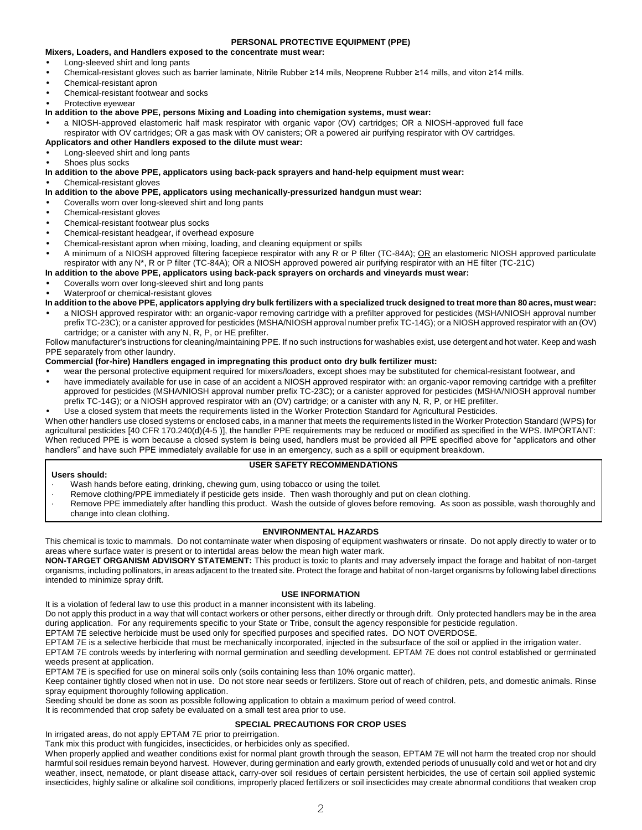## **PERSONAL PROTECTIVE EQUIPMENT (PPE)**

## **Mixers, Loaders, and Handlers exposed to the concentrate must wear:**

- Long-sleeved shirt and long pants
- Chemical-resistant gloves such as barrier laminate, Nitrile Rubber ≥14 mils, Neoprene Rubber ≥14 mills, and viton ≥14 mills.
- Chemical-resistant apron
- Chemical-resistant footwear and socks
- Protective evewear

## **In addition to the above PPE, persons Mixing and Loading into chemigation systems, must wear:**

• a NIOSH-approved elastomeric half mask respirator with organic vapor (OV) cartridges; OR a NIOSH-approved full face respirator with OV cartridges; OR a gas mask with OV canisters; OR a powered air purifying respirator with OV cartridges. **Applicators and other Handlers exposed to the dilute must wear:**

## • Long-sleeved shirt and long pants

- Shoes plus socks
- **In addition to the above PPE, applicators using back-pack sprayers and hand-help equipment must wear:**

• Chemical-resistant gloves

## **In addition to the above PPE, applicators using mechanically-pressurized handgun must wear:**

- Coveralls worn over long-sleeved shirt and long pants
- Chemical-resistant gloves
- Chemical-resistant footwear plus socks
- Chemical-resistant headgear, if overhead exposure
- Chemical-resistant apron when mixing, loading, and cleaning equipment or spills
- A minimum of a NIOSH approved filtering facepiece respirator with any R or P filter (TC-84A); OR an elastomeric NIOSH approved particulate respirator with any N\*, R or P filter (TC-84A); OR a NIOSH approved powered air purifying respirator with an HE filter (TC-21C)
- **In addition to the above PPE, applicators using back-pack sprayers on orchards and vineyards must wear:**
- Coveralls worn over long-sleeved shirt and long pants

• Waterproof or chemical-resistant gloves

## **In addition to the above PPE, applicators applying dry bulk fertilizers with a specialized truck designed to treat more than 80 acres, must wear:**

• a NIOSH approved respirator with: an organic-vapor removing cartridge with a prefilter approved for pesticides (MSHA/NIOSH approval number prefix TC-23C); or a canister approved for pesticides (MSHA/NIOSH approval number prefix TC-14G); or a NIOSH approved respirator with an (OV) cartridge; or a canister with any N, R, P, or HE prefilter.

Follow manufacturer's instructions for cleaning/maintaining PPE. If no such instructions for washables exist, use detergent and hot water. Keep and wash PPE separately from other laundry.

## **Commercial (for-hire) Handlers engaged in impregnating this product onto dry bulk fertilizer must:**

- wear the personal protective equipment required for mixers/loaders, except shoes may be substituted for chemical-resistant footwear, and • have immediately available for use in case of an accident a NIOSH approved respirator with: an organic-vapor removing cartridge with a prefilter approved for pesticides (MSHA/NIOSH approval number prefix TC-23C); or a canister approved for pesticides (MSHA/NIOSH approval number
- prefix TC-14G); or a NIOSH approved respirator with an (OV) cartridge; or a canister with any N, R, P, or HE prefilter.

• Use a closed system that meets the requirements listed in the Worker Protection Standard for Agricultural Pesticides.

When other handlers use closed systems or enclosed cabs, in a manner that meets the requirements listed in the Worker Protection Standard (WPS) for agricultural pesticides [40 CFR 170.240(d)(4-5 )], the handler PPE requirements may be reduced or modified as specified in the WPS. IMPORTANT: When reduced PPE is worn because a closed system is being used, handlers must be provided all PPE specified above for "applicators and other handlers" and have such PPE immediately available for use in an emergency, such as a spill or equipment breakdown.

## **USER SAFETY RECOMMENDATIONS**

- **Users should:**
	- Wash hands before eating, drinking, chewing gum, using tobacco or using the toilet.
- Remove clothing/PPE immediately if pesticide gets inside. Then wash thoroughly and put on clean clothing.
- Remove PPE immediately after handling this product. Wash the outside of gloves before removing. As soon as possible, wash thoroughly and change into clean clothing.

## **ENVIRONMENTAL HAZARDS**

This chemical is toxic to mammals. Do not contaminate water when disposing of equipment washwaters or rinsate. Do not apply directly to water or to areas where surface water is present or to intertidal areas below the mean high water mark.

**NON-TARGET ORGANISM ADVISORY STATEMENT:** This product is toxic to plants and may adversely impact the forage and habitat of non-target organisms, including pollinators, in areas adjacent to the treated site. Protect the forage and habitat of non-target organisms by following label directions intended to minimize spray drift.

## **USE INFORMATION**

It is a violation of federal law to use this product in a manner inconsistent with its labeling.

Do not apply this product in a way that will contact workers or other persons, either directly or through drift. Only protected handlers may be in the area during application. For any requirements specific to your State or Tribe, consult the agency responsible for pesticide regulation.

EPTAM 7E selective herbicide must be used only for specified purposes and specified rates. DO NOT OVERDOSE.

EPTAM 7E is a selective herbicide that must be mechanically incorporated, injected in the subsurface of the soil or applied in the irrigation water.

EPTAM 7E controls weeds by interfering with normal germination and seedling development. EPTAM 7E does not control established or germinated weeds present at application.

EPTAM 7E is specified for use on mineral soils only (soils containing less than 10% organic matter).

Keep container tightly closed when not in use. Do not store near seeds or fertilizers. Store out of reach of children, pets, and domestic animals. Rinse spray equipment thoroughly following application.

Seeding should be done as soon as possible following application to obtain a maximum period of weed control.

It is recommended that crop safety be evaluated on a small test area prior to use.

## **SPECIAL PRECAUTIONS FOR CROP USES**

In irrigated areas, do not apply EPTAM 7E prior to preirrigation.

Tank mix this product with fungicides, insecticides, or herbicides only as specified.

When properly applied and weather conditions exist for normal plant growth through the season, EPTAM 7E will not harm the treated crop nor should harmful soil residues remain beyond harvest. However, during germination and early growth, extended periods of unusually cold and wet or hot and dry weather, insect, nematode, or plant disease attack, carry-over soil residues of certain persistent herbicides, the use of certain soil applied systemic insecticides, highly saline or alkaline soil conditions, improperly placed fertilizers or soil insecticides may create abnormal conditions that weaken crop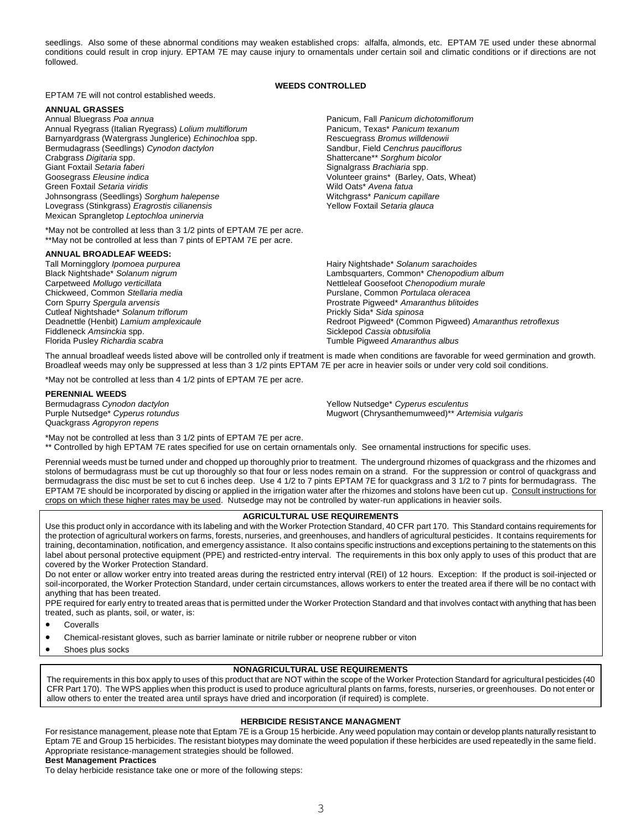seedlings. Also some of these abnormal conditions may weaken established crops: alfalfa, almonds, etc. EPTAM 7E used under these abnormal conditions could result in crop injury. EPTAM 7E may cause injury to ornamentals under certain soil and climatic conditions or if directions are not followed.

## **WEEDS CONTROLLED**

EPTAM 7E will not control established weeds.

**ANNUAL GRASSES** Annual Ryegrass (Italian Ryegrass) *Lolium multiflorum* Panicum, Texas\* *Panicum texanum* Barnyardgrass (Watergrass Junglerice) *Echinochloa* spp. Rescuegrass *Bromus willdenowii*<br>Bermudagrass (Seedlings) *Cynodon dactylon* composition of Sandbur, Field Cenchrus pauciflorus Bermudagrass (Seedlings) Cynodon dactylon **Crabgrass** *Digitaria* **spp.** Shattercane\*\* *Sorghum bicolor* Signal Shattercane\*\* *Sorghum bicolor*<br>Giant Foxtail Setaria faberi **Shatter Sorghum bicolor** Signal Signal Shattercane\*\* Sorghum bicolor Goosegrass *Eleusine indica*<br>
Green Foxtail Setaria viridis **Algentine State and Setarity Control** Vild Oats<sup>\*</sup> Avena fatua<br>
Wild Oats<sup>\*</sup> Avena fatua Green Foxtail *Setaria viridis*<br>
Johnsongrass (Seedlings) *Sorghum halepense* and the manual Mitchgrass\* *Panicum capillare* Johnsongrass (Seedlings) Sorghum halepense Lovegrass (Stinkgrass) *Eragrostis cilianensis* Mexican Sprangletop *Leptochloa uninervia*

\*May not be controlled at less than 3 1/2 pints of EPTAM 7E per acre. \*\*May not be controlled at less than 7 pints of EPTAM 7E per acre.

## **ANNUAL BROADLEAF WEEDS:**

Tall Morningglory *Ipomoea purpurea* Hairy Nightshade\* *Solanum sarachoides* **Corn Spurry Spergula arvensis Prostrate Pigweed\* Amaranthus blitoides Prostrate Pigweed\* Amaranthus blitoides** Cutleaf Nightshade\* *Solanum triflorum*<br>
Deadnettle (Henbit) Lamium amplexicaule<br>
Peadnettle (Henbit) Lamium amplexicaule<br>
Peadnettle (Henbit) Lamium amplexicaule Fiddleneck *Amsinckia* spp. Sicklepod *Cassia obtusifolia* Florida Pusley *Richardia scabra* Tumble Pigweed *Amaranthus albus*

Panicum, Fall Panicum dichotomiflorum Signalgrass *Brachiaria* spp. Yellow Foxtail *Setaria glauca*

Black Nightshade\* *Solanum nigrum* Lambsquarters, Common\* *Chenopodium album* Carpetweed *Mollugo verticillata* Nettleleaf Goosefoot *Chenopodium murale* Chickweed, Common *Stellaria media* Purslane, Common *Portulaca oleracea* Redroot Pigweed\* (Common Pigweed) Amaranthus retroflexus

The annual broadleaf weeds listed above will be controlled only if treatment is made when conditions are favorable for weed germination and growth. Broadleaf weeds may only be suppressed at less than 3 1/2 pints EPTAM 7E per acre in heavier soils or under very cold soil conditions.

\*May not be controlled at less than 4 1/2 pints of EPTAM 7E per acre.

## **PERENNIAL WEEDS**

Quackgrass *Agropyron repens* 

Bermudagrass *Cynodon dactylon*<br>
Purple Nutsedge\* *Cyperus rotundus*<br>
Mugwort (Chrysanthemumweed)\*\* Arte Purple Nutsedge\* *Cyperus rotundus* Mugwort (Chrysanthemumweed)\*\* *Artemisia vulgaris*

\*May not be controlled at less than 3 1/2 pints of EPTAM 7E per acre. \*\* Controlled by high EPTAM 7E rates specified for use on certain ornamentals only. See ornamental instructions for specific uses.

Perennial weeds must be turned under and chopped up thoroughly prior to treatment. The underground rhizomes of quackgrass and the rhizomes and stolons of bermudagrass must be cut up thoroughly so that four or less nodes remain on a strand. For the suppression or control of quackgrass and bermudagrass the disc must be set to cut 6 inches deep. Use 4 1/2 to 7 pints EPTAM 7E for quackgrass and 3 1/2 to 7 pints for bermudagrass. The EPTAM 7E should be incorporated by discing or applied in the irrigation water after the rhizomes and stolons have been cut up. Consult instructions for crops on which these higher rates may be used. Nutsedge may not be controlled by water-run applications in heavier soils.

## **AGRICULTURAL USE REQUIREMENTS**

Use this product only in accordance with its labeling and with the Worker Protection Standard, 40 CFR part 170. This Standard contains requirements for the protection of agricultural workers on farms, forests, nurseries, and greenhouses, and handlers of agricultural pesticides. It contains requirements for training, decontamination, notification, and emergency assistance. It also contains specific instructions and exceptions pertaining to the statements on this label about personal protective equipment (PPE) and restricted-entry interval. The requirements in this box only apply to uses of this product that are covered by the Worker Protection Standard.

Do not enter or allow worker entry into treated areas during the restricted entry interval (REI) of 12 hours. Exception: If the product is soil-injected or soil-incorporated, the Worker Protection Standard, under certain circumstances, allows workers to enter the treated area if there will be no contact with anything that has been treated.

PPE required for early entry to treated areas that is permitted under the Worker Protection Standard and that involves contact with anything that has been treated, such as plants, soil, or water, is:

Coveralls

Chemical-resistant gloves, such as barrier laminate or nitrile rubber or neoprene rubber or viton

Shoes plus socks

## **NONAGRICULTURAL USE REQUIREMENTS**

The requirements in this box apply to uses of this product that are NOT within the scope of the Worker Protection Standard for agricultural pesticides (40 CFR Part 170). The WPS applies when this product is used to produce agricultural plants on farms, forests, nurseries, or greenhouses. Do not enter or allow others to enter the treated area until sprays have dried and incorporation (if required) is complete.

## **HERBICIDE RESISTANCE MANAGMENT**

For resistance management, please note that Eptam 7E is a Group 15 herbicide. Any weed population may contain or develop plants naturally resistant to Eptam 7E and Group 15 herbicides. The resistant biotypes may dominate the weed population if these herbicides are used repeatedly in the same field. Appropriate resistance-management strategies should be followed. **Best Management Practices**

To delay herbicide resistance take one or more of the following steps: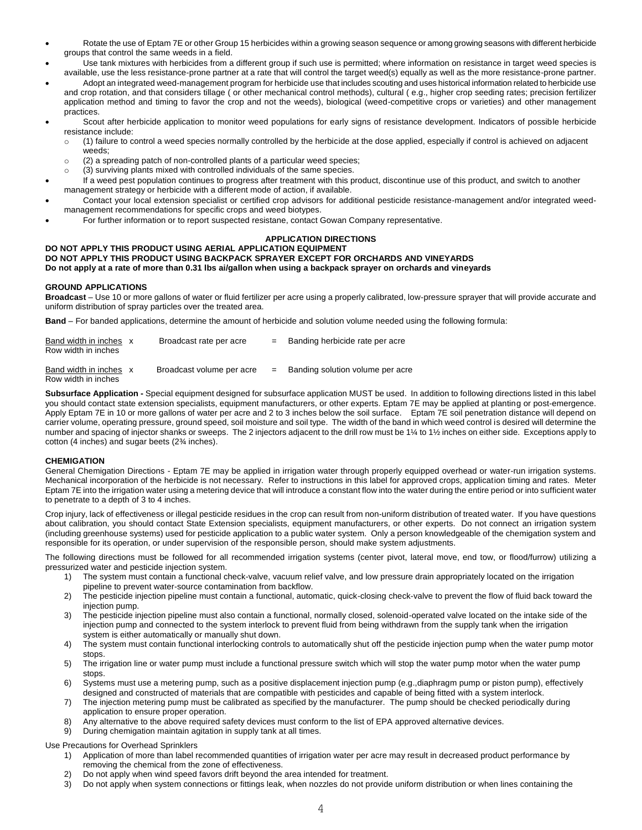- Rotate the use of Eptam 7E or other Group 15 herbicides within a growing season sequence or among growing seasons with different herbicide groups that control the same weeds in a field.
- Use tank mixtures with herbicides from a different group if such use is permitted; where information on resistance in target weed species is available, use the less resistance-prone partner at a rate that will control the target weed(s) equally as well as the more resistance-prone partner.
- Adopt an integrated weed-management program for herbicide use that includes scouting and uses historical information related to herbicide use and crop rotation, and that considers tillage ( or other mechanical control methods), cultural ( e.g., higher crop seeding rates; precision fertilizer application method and timing to favor the crop and not the weeds), biological (weed-competitive crops or varieties) and other management practices.
- Scout after herbicide application to monitor weed populations for early signs of resistance development. Indicators of possible herbicide resistance include:
	- o (1) failure to control a weed species normally controlled by the herbicide at the dose applied, especially if control is achieved on adjacent weeds;
	- o (2) a spreading patch of non-controlled plants of a particular weed species;
	- o (3) surviving plants mixed with controlled individuals of the same species.
- If a weed pest population continues to progress after treatment with this product, discontinue use of this product, and switch to another management strategy or herbicide with a different mode of action, if available.
- Contact your local extension specialist or certified crop advisors for additional pesticide resistance-management and/or integrated weedmanagement recommendations for specific crops and weed biotypes.
- For further information or to report suspected resistane, contact Gowan Company representative.

## **APPLICATION DIRECTIONS**

## **DO NOT APPLY THIS PRODUCT USING AERIAL APPLICATION EQUIPMENT**

## **DO NOT APPLY THIS PRODUCT USING BACKPACK SPRAYER EXCEPT FOR ORCHARDS AND VINEYARDS**

**Do not apply at a rate of more than 0.31 lbs ai/gallon when using a backpack sprayer on orchards and vineyards** 

## **GROUND APPLICATIONS**

**Broadcast** – Use 10 or more gallons of water or fluid fertilizer per acre using a properly calibrated, low-pressure sprayer that will provide accurate and uniform distribution of spray particles over the treated area.

**Band** – For banded applications, determine the amount of herbicide and solution volume needed using the following formula:

| Band width in inches x<br>Row width in inches | Broadcast rate per acre   | $=$ | Banding herbicide rate per acre  |
|-----------------------------------------------|---------------------------|-----|----------------------------------|
| Band width in inches x                        | Broadcast volume per acre | $=$ | Banding solution volume per acre |

Row width in inches

**Subsurface Application -** Special equipment designed for subsurface application MUST be used. In addition to following directions listed in this label you should contact state extension specialists, equipment manufacturers, or other experts. Eptam 7E may be applied at planting or post-emergence. Apply Eptam 7E in 10 or more gallons of water per acre and 2 to 3 inches below the soil surface. Eptam 7E soil penetration distance will depend on carrier volume, operating pressure, ground speed, soil moisture and soil type. The width of the band in which weed control is desired will determine the number and spacing of injector shanks or sweeps. The 2 injectors adjacent to the drill row must be 1¼ to 1½ inches on either side. Exceptions apply to cotton (4 inches) and sugar beets (2¾ inches).

### **CHEMIGATION**

General Chemigation Directions - Eptam 7E may be applied in irrigation water through properly equipped overhead or water-run irrigation systems. Mechanical incorporation of the herbicide is not necessary. Refer to instructions in this label for approved crops, application timing and rates. Meter Eptam 7E into the irrigation water using a metering device that will introduce a constant flow into the water during the entire period or into sufficient water to penetrate to a depth of 3 to 4 inches.

Crop injury, lack of effectiveness or illegal pesticide residues in the crop can result from non-uniform distribution of treated water. If you have questions about calibration, you should contact State Extension specialists, equipment manufacturers, or other experts. Do not connect an irrigation system (including greenhouse systems) used for pesticide application to a public water system. Only a person knowledgeable of the chemigation system and responsible for its operation, or under supervision of the responsible person, should make system adjustments.

The following directions must be followed for all recommended irrigation systems (center pivot, lateral move, end tow, or flood/furrow) utilizing a pressurized water and pesticide injection system.

- 1) The system must contain a functional check-valve, vacuum relief valve, and low pressure drain appropriately located on the irrigation pipeline to prevent water-source contamination from backflow.
- 2) The pesticide injection pipeline must contain a functional, automatic, quick-closing check-valve to prevent the flow of fluid back toward the injection pump.
- 3) The pesticide injection pipeline must also contain a functional, normally closed, solenoid-operated valve located on the intake side of the injection pump and connected to the system interlock to prevent fluid from being withdrawn from the supply tank when the irrigation system is either automatically or manually shut down.
- 4) The system must contain functional interlocking controls to automatically shut off the pesticide injection pump when the water pump motor stops.
- 5) The irrigation line or water pump must include a functional pressure switch which will stop the water pump motor when the water pump stops.
- 6) Systems must use a metering pump, such as a positive displacement injection pump (e.g.,diaphragm pump or piston pump), effectively designed and constructed of materials that are compatible with pesticides and capable of being fitted with a system interlock.
- 7) The injection metering pump must be calibrated as specified by the manufacturer. The pump should be checked periodically during application to ensure proper operation.
- Any alternative to the above required safety devices must conform to the list of EPA approved alternative devices.
- 9) During chemigation maintain agitation in supply tank at all times.

Use Precautions for Overhead Sprinklers

- 1) Application of more than label recommended quantities of irrigation water per acre may result in decreased product performance by removing the chemical from the zone of effectiveness.
- 2) Do not apply when wind speed favors drift beyond the area intended for treatment.<br>3) Do not apply when system connections or fittings leak, when nozzles do not provide
- 3) Do not apply when system connections or fittings leak, when nozzles do not provide uniform distribution or when lines containing the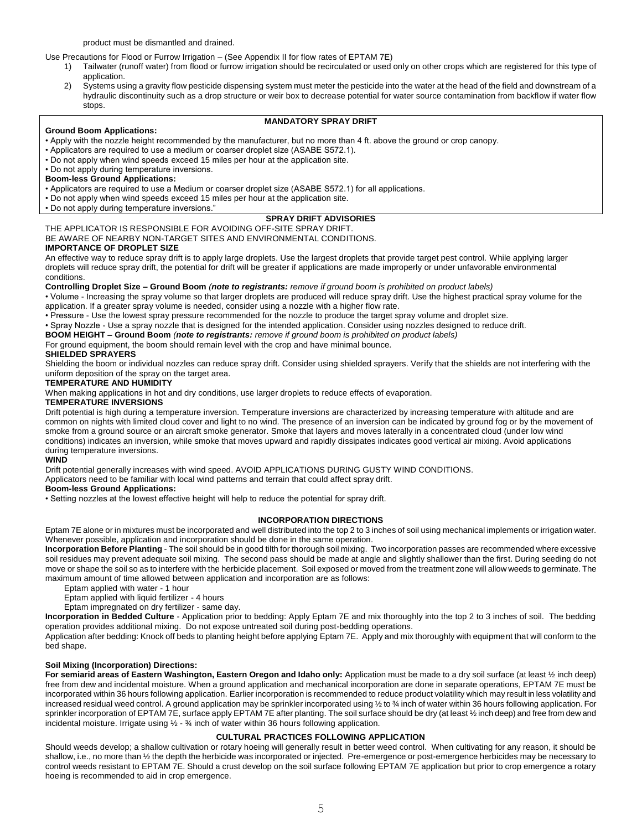product must be dismantled and drained.

Use Precautions for Flood or Furrow Irrigation – (See Appendix II for flow rates of EPTAM 7E)

- 1) Tailwater (runoff water) from flood or furrow irrigation should be recirculated or used only on other crops which are registered for this type of application.
- 2) Systems using a gravity flow pesticide dispensing system must meter the pesticide into the water at the head of the field and downstream of a hydraulic discontinuity such as a drop structure or weir box to decrease potential for water source contamination from backflow if water flow stops.

## **MANDATORY SPRAY DRIFT**

## **Ground Boom Applications:**

- Apply with the nozzle height recommended by the manufacturer, but no more than 4 ft. above the ground or crop canopy.
- Applicators are required to use a medium or coarser droplet size (ASABE S572.1).
- Do not apply when wind speeds exceed 15 miles per hour at the application site.
- Do not apply during temperature inversions.

## **Boom-less Ground Applications:**

• Applicators are required to use a Medium or coarser droplet size (ASABE S572.1) for all applications.

• Do not apply when wind speeds exceed 15 miles per hour at the application site.

• Do not apply during temperature inversions."

## **SPRAY DRIFT ADVISORIES**

THE APPLICATOR IS RESPONSIBLE FOR AVOIDING OFF-SITE SPRAY DRIFT. BE AWARE OF NEARBY NON-TARGET SITES AND ENVIRONMENTAL CONDITIONS. **IMPORTANCE OF DROPLET SIZE** 

An effective way to reduce spray drift is to apply large droplets. Use the largest droplets that provide target pest control. While applying larger droplets will reduce spray drift, the potential for drift will be greater if applications are made improperly or under unfavorable environmental

### conditions.

**Controlling Droplet Size – Ground Boom** *(note to registrants: remove if ground boom is prohibited on product labels)* 

• Volume - Increasing the spray volume so that larger droplets are produced will reduce spray drift. Use the highest practical spray volume for the application. If a greater spray volume is needed, consider using a nozzle with a higher flow rate.

• Pressure - Use the lowest spray pressure recommended for the nozzle to produce the target spray volume and droplet size.

• Spray Nozzle - Use a spray nozzle that is designed for the intended application. Consider using nozzles designed to reduce drift.

**BOOM HEIGHT – Ground Boom** *(note to registrants: remove if ground boom is prohibited on product labels)* 

For ground equipment, the boom should remain level with the crop and have minimal bounce.

## **SHIELDED SPRAYERS**

Shielding the boom or individual nozzles can reduce spray drift. Consider using shielded sprayers. Verify that the shields are not interfering with the uniform deposition of the spray on the target area.

## **TEMPERATURE AND HUMIDITY**

When making applications in hot and dry conditions, use larger droplets to reduce effects of evaporation.

## **TEMPERATURE INVERSIONS**

Drift potential is high during a temperature inversion. Temperature inversions are characterized by increasing temperature with altitude and are common on nights with limited cloud cover and light to no wind. The presence of an inversion can be indicated by ground fog or by the movement of smoke from a ground source or an aircraft smoke generator. Smoke that layers and moves laterally in a concentrated cloud (under low wind conditions) indicates an inversion, while smoke that moves upward and rapidly dissipates indicates good vertical air mixing. Avoid applications during temperature inversions.

## **WIND**

Drift potential generally increases with wind speed. AVOID APPLICATIONS DURING GUSTY WIND CONDITIONS.

Applicators need to be familiar with local wind patterns and terrain that could affect spray drift.

## **Boom-less Ground Applications:**

• Setting nozzles at the lowest effective height will help to reduce the potential for spray drift.

## **INCORPORATION DIRECTIONS**

Eptam 7E alone or in mixtures must be incorporated and well distributed into the top 2 to 3 inches of soil using mechanical implements or irrigation water. Whenever possible, application and incorporation should be done in the same operation.

**Incorporation Before Planting** - The soil should be in good tilth for thorough soil mixing. Two incorporation passes are recommended where excessive soil residues may prevent adequate soil mixing. The second pass should be made at angle and slightly shallower than the first. During seeding do not move or shape the soil so as to interfere with the herbicide placement. Soil exposed or moved from the treatment zone will allow weeds to germinate. The maximum amount of time allowed between application and incorporation are as follows:

Eptam applied with water - 1 hour

Eptam applied with liquid fertilizer - 4 hours

Eptam impregnated on dry fertilizer - same day.

**Incorporation in Bedded Culture** - Application prior to bedding: Apply Eptam 7E and mix thoroughly into the top 2 to 3 inches of soil. The bedding operation provides additional mixing. Do not expose untreated soil during post-bedding operations.

Application after bedding: Knock off beds to planting height before applying Eptam 7E. Apply and mix thoroughly with equipment that will conform to the bed shape.

## **Soil Mixing (Incorporation) Directions:**

**For semiarid areas of Eastern Washington, Eastern Oregon and Idaho only:** Application must be made to a dry soil surface (at least ½ inch deep) free from dew and incidental moisture. When a ground application and mechanical incorporation are done in separate operations, EPTAM 7E must be incorporated within 36 hours following application. Earlier incorporation is recommended to reduce product volatility which may result in less volatility and increased residual weed control. A ground application may be sprinkler incorporated using ½ to ¾ inch of water within 36 hours following application. For sprinkler incorporation of EPTAM 7E, surface apply EPTAM 7E after planting. The soil surface should be dry (at least 1/2 inch deep) and free from dew and incidental moisture. Irrigate using ½ - ¾ inch of water within 36 hours following application.

## **CULTURAL PRACTICES FOLLOWING APPLICATION**

Should weeds develop; a shallow cultivation or rotary hoeing will generally result in better weed control. When cultivating for any reason, it should be shallow, i.e., no more than ½ the depth the herbicide was incorporated or injected. Pre-emergence or post-emergence herbicides may be necessary to control weeds resistant to EPTAM 7E. Should a crust develop on the soil surface following EPTAM 7E application but prior to crop emergence a rotary hoeing is recommended to aid in crop emergence.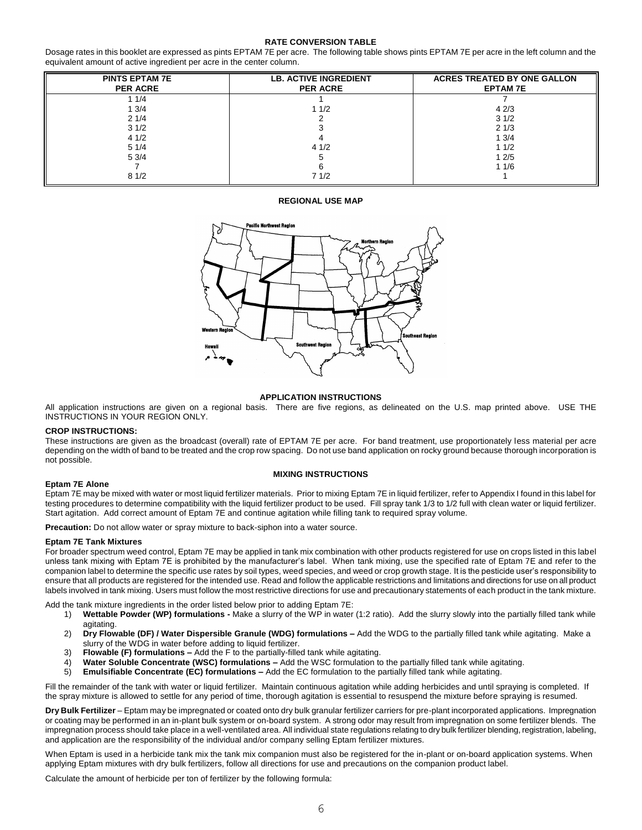## **RATE CONVERSION TABLE**

Dosage rates in this booklet are expressed as pints EPTAM 7E per acre. The following table shows pints EPTAM 7E per acre in the left column and the equivalent amount of active ingredient per acre in the center column.

| <b>PINTS EPTAM 7E</b><br><b>PER ACRE</b> | <b>LB. ACTIVE INGREDIENT</b><br><b>PER ACRE</b> | <b>ACRES TREATED BY ONE GALLON</b><br><b>EPTAM7E</b> |
|------------------------------------------|-------------------------------------------------|------------------------------------------------------|
| 1/4                                      |                                                 |                                                      |
| 13/4                                     | 11/2                                            | 42/3                                                 |
| 21/4                                     |                                                 | 31/2                                                 |
| 31/2                                     |                                                 | 21/3                                                 |
| 41/2                                     |                                                 | 13/4                                                 |
| 51/4                                     | 41/2                                            | 11/2                                                 |
| 53/4                                     |                                                 | 12/5                                                 |
|                                          |                                                 | 11/6                                                 |
| 81/2                                     | 71/2                                            |                                                      |

## **REGIONAL USE MAP**



## **APPLICATION INSTRUCTIONS**

All application instructions are given on a regional basis. There are five regions, as delineated on the U.S. map printed above. USE THE INSTRUCTIONS IN YOUR REGION ONLY.

### **CROP INSTRUCTIONS:**

These instructions are given as the broadcast (overall) rate of EPTAM 7E per acre. For band treatment, use proportionately less material per acre depending on the width of band to be treated and the crop row spacing. Do not use band application on rocky ground because thorough incorporation is not possible.

## **MIXING INSTRUCTIONS**

#### **Eptam 7E Alone**

Eptam 7E may be mixed with water or most liquid fertilizer materials. Prior to mixing Eptam 7E in liquid fertilizer, refer to Appendix I found in this label for testing procedures to determine compatibility with the liquid fertilizer product to be used. Fill spray tank 1/3 to 1/2 full with clean water or liquid fertilizer. Start agitation. Add correct amount of Eptam 7E and continue agitation while filling tank to required spray volume.

**Precaution:** Do not allow water or spray mixture to back-siphon into a water source.

#### **Eptam 7E Tank Mixtures**

For broader spectrum weed control, Eptam 7E may be applied in tank mix combination with other products registered for use on crops listed in this label unless tank mixing with Eptam 7E is prohibited by the manufacturer's label. When tank mixing, use the specified rate of Eptam 7E and refer to the companion label to determine the specific use rates by soil types, weed species, and weed or crop growth stage. It is the pesticide user's responsibility to ensure that all products are registered for the intended use. Read and follow the applicable restrictions and limitations and directions for use on all product labels involved in tank mixing. Users must follow the most restrictive directions for use and precautionary statements of each product in the tank mixture.

Add the tank mixture ingredients in the order listed below prior to adding Eptam 7E:

- 1) **Wettable Powder (WP) formulations -** Make a slurry of the WP in water (1:2 ratio). Add the slurry slowly into the partially filled tank while agitating.
- 2) **Dry Flowable (DF) / Water Dispersible Granule (WDG) formulations –** Add the WDG to the partially filled tank while agitating. Make a slurry of the WDG in water before adding to liquid fertilizer.
- 3) **Flowable (F) formulations –** Add the F to the partially-filled tank while agitating.
- 4) **Water Soluble Concentrate (WSC) formulations –** Add the WSC formulation to the partially filled tank while agitating.
- 5) **Emulsifiable Concentrate (EC) formulations –** Add the EC formulation to the partially filled tank while agitating.

Fill the remainder of the tank with water or liquid fertilizer. Maintain continuous agitation while adding herbicides and until spraying is completed. If the spray mixture is allowed to settle for any period of time, thorough agitation is essential to resuspend the mixture before spraying is resumed.

**Dry Bulk Fertilizer** – Eptam may be impregnated or coated onto dry bulk granular fertilizer carriers for pre-plant incorporated applications. Impregnation or coating may be performed in an in-plant bulk system or on-board system. A strong odor may result from impregnation on some fertilizer blends. The impregnation process should take place in a well-ventilated area. All individual state regulations relating to dry bulk fertilizer blending, registration, labeling, and application are the responsibility of the individual and/or company selling Eptam fertilizer mixtures.

When Eptam is used in a herbicide tank mix the tank mix companion must also be registered for the in-plant or on-board application systems. When applying Eptam mixtures with dry bulk fertilizers, follow all directions for use and precautions on the companion product label.

Calculate the amount of herbicide per ton of fertilizer by the following formula: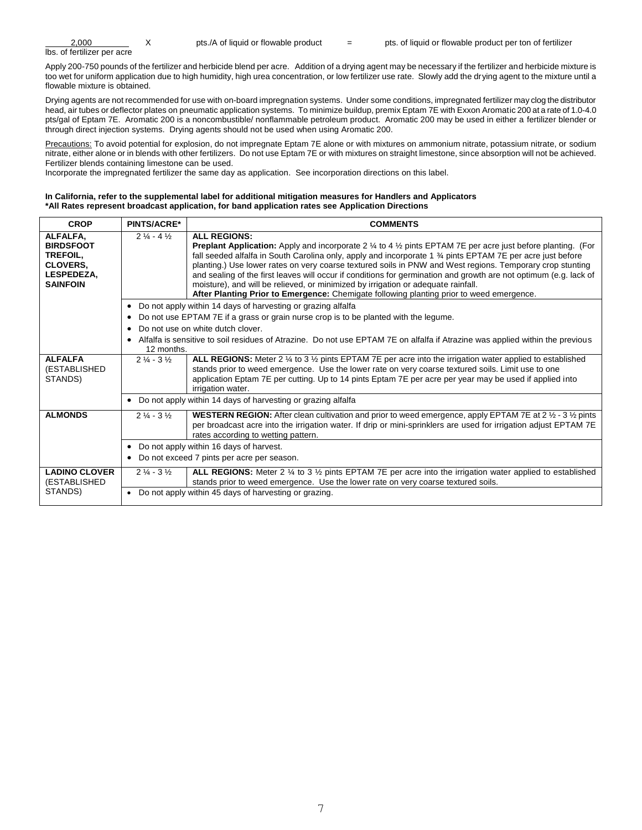| 2.000                       | pts./A of liquid or flowable product | pts. of liquid or flowable product per ton of fertilizer |
|-----------------------------|--------------------------------------|----------------------------------------------------------|
| Ibs. of fertilizer per acre |                                      |                                                          |

Apply 200-750 pounds of the fertilizer and herbicide blend per acre. Addition of a drying agent may be necessary if the fertilizer and herbicide mixture is too wet for uniform application due to high humidity, high urea concentration, or low fertilizer use rate. Slowly add the drying agent to the mixture until a flowable mixture is obtained.

Drying agents are not recommended for use with on-board impregnation systems. Under some conditions, impregnated fertilizer may clog the distributor head, air tubes or deflector plates on pneumatic application systems. To minimize buildup, premix Eptam 7E with Exxon Aromatic 200 at a rate of 1.0-4.0 pts/gal of Eptam 7E. Aromatic 200 is a noncombustible/ nonflammable petroleum product. Aromatic 200 may be used in either a fertilizer blender or through direct injection systems. Drying agents should not be used when using Aromatic 200.

Precautions: To avoid potential for explosion, do not impregnate Eptam 7E alone or with mixtures on ammonium nitrate, potassium nitrate, or sodium nitrate, either alone or in blends with other fertilizers. Do not use Eptam 7E or with mixtures on straight limestone, since absorption will not be achieved. Fertilizer blends containing limestone can be used.

Incorporate the impregnated fertilizer the same day as application. See incorporation directions on this label.

## **In California, refer to the supplemental label for additional mitigation measures for Handlers and Applicators \*All Rates represent broadcast application, for band application rates see Application Directions**

| <b>CROP</b>                                      | <b>PINTS/ACRE*</b>                                             | <b>COMMENTS</b>                                                                                                                                                                                                                                                                                                                                                      |  |  |  |
|--------------------------------------------------|----------------------------------------------------------------|----------------------------------------------------------------------------------------------------------------------------------------------------------------------------------------------------------------------------------------------------------------------------------------------------------------------------------------------------------------------|--|--|--|
| ALFALFA,<br><b>BIRDSFOOT</b><br><b>TREFOIL.</b>  | $2\frac{1}{4}$ - 4 $\frac{1}{2}$                               | <b>ALL REGIONS:</b><br><b>Preplant Application:</b> Apply and incorporate 2 $\frac{1}{4}$ to 4 $\frac{1}{2}$ pints EPTAM 7E per acre just before planting. (For<br>fall seeded alfalfa in South Carolina only, apply and incorporate 1 % pints EPTAM 7E per acre just before                                                                                         |  |  |  |
| <b>CLOVERS.</b><br>LESPEDEZA,<br><b>SAINFOIN</b> |                                                                | planting.) Use lower rates on very coarse textured soils in PNW and West regions. Temporary crop stunting<br>and sealing of the first leaves will occur if conditions for germination and growth are not optimum (e.g. lack of<br>moisture), and will be relieved, or minimized by irrigation or adequate rainfall.                                                  |  |  |  |
|                                                  |                                                                | After Planting Prior to Emergence: Chemigate following planting prior to weed emergence.                                                                                                                                                                                                                                                                             |  |  |  |
|                                                  |                                                                | • Do not apply within 14 days of harvesting or grazing alfalfa                                                                                                                                                                                                                                                                                                       |  |  |  |
|                                                  | $\bullet$                                                      | Do not use EPTAM 7E if a grass or grain nurse crop is to be planted with the legume.                                                                                                                                                                                                                                                                                 |  |  |  |
|                                                  | $\bullet$                                                      | Do not use on white dutch clover.                                                                                                                                                                                                                                                                                                                                    |  |  |  |
|                                                  | $\bullet$<br>12 months.                                        | Alfalfa is sensitive to soil residues of Atrazine. Do not use EPTAM 7E on alfalfa if Atrazine was applied within the previous                                                                                                                                                                                                                                        |  |  |  |
| <b>ALFALFA</b><br>(ESTABLISHED<br>STANDS)        | $2\frac{1}{4} - 3\frac{1}{2}$                                  | ALL REGIONS: Meter 2 $\frac{1}{4}$ to 3 $\frac{1}{2}$ pints EPTAM 7E per acre into the irrigation water applied to established<br>stands prior to weed emergence. Use the lower rate on very coarse textured soils. Limit use to one<br>application Eptam 7E per cutting. Up to 14 pints Eptam 7E per acre per year may be used if applied into<br>irrigation water. |  |  |  |
|                                                  | • Do not apply within 14 days of harvesting or grazing alfalfa |                                                                                                                                                                                                                                                                                                                                                                      |  |  |  |
| <b>ALMONDS</b>                                   | $2\frac{1}{4} - 3\frac{1}{2}$                                  | <b>WESTERN REGION:</b> After clean cultivation and prior to weed emergence, apply EPTAM 7E at 2 $\frac{1}{2}$ - 3 $\frac{1}{2}$ pints<br>per broadcast acre into the irrigation water. If drip or mini-sprinklers are used for irrigation adjust EPTAM 7E<br>rates according to wetting pattern.                                                                     |  |  |  |
|                                                  |                                                                | • Do not apply within 16 days of harvest.                                                                                                                                                                                                                                                                                                                            |  |  |  |
|                                                  |                                                                | • Do not exceed 7 pints per acre per season.                                                                                                                                                                                                                                                                                                                         |  |  |  |
| <b>LADINO CLOVER</b><br>(ESTABLISHED             | $2\frac{1}{4} - 3\frac{1}{2}$                                  | ALL REGIONS: Meter 2 $\frac{1}{4}$ to 3 $\frac{1}{2}$ pints EPTAM 7E per acre into the irrigation water applied to established<br>stands prior to weed emergence. Use the lower rate on very coarse textured soils.                                                                                                                                                  |  |  |  |
| STANDS)                                          |                                                                | • Do not apply within 45 days of harvesting or grazing.                                                                                                                                                                                                                                                                                                              |  |  |  |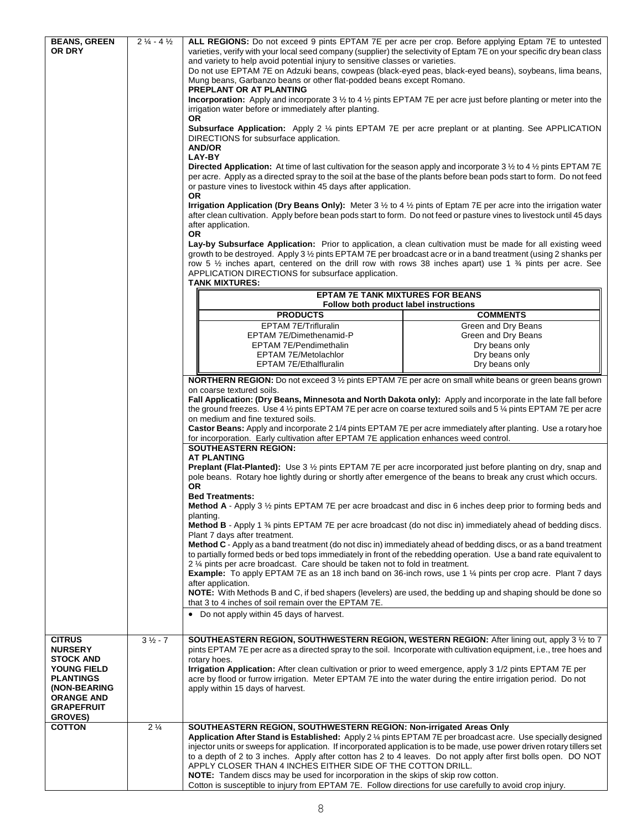| <b>BEANS, GREEN</b>               | $2\frac{1}{4}$ - 4 $\frac{1}{2}$ | ALL REGIONS: Do not exceed 9 pints EPTAM 7E per acre per crop. Before applying Eptam 7E to untested                                                                                                                                                |                                  |  |  |
|-----------------------------------|----------------------------------|----------------------------------------------------------------------------------------------------------------------------------------------------------------------------------------------------------------------------------------------------|----------------------------------|--|--|
| OR DRY                            |                                  | varieties, verify with your local seed company (supplier) the selectivity of Eptam 7E on your specific dry bean class                                                                                                                              |                                  |  |  |
|                                   |                                  | and variety to help avoid potential injury to sensitive classes or varieties.                                                                                                                                                                      |                                  |  |  |
|                                   |                                  | Do not use EPTAM 7E on Adzuki beans, cowpeas (black-eyed peas, black-eyed beans), soybeans, lima beans,                                                                                                                                            |                                  |  |  |
|                                   |                                  | Mung beans, Garbanzo beans or other flat-podded beans except Romano.<br>PREPLANT OR AT PLANTING                                                                                                                                                    |                                  |  |  |
|                                   |                                  | <b>Incorporation:</b> Apply and incorporate 3 $\frac{1}{2}$ to 4 $\frac{1}{2}$ pints EPTAM 7E per acre just before planting or meter into the                                                                                                      |                                  |  |  |
|                                   |                                  | irrigation water before or immediately after planting.                                                                                                                                                                                             |                                  |  |  |
|                                   |                                  | <b>OR</b>                                                                                                                                                                                                                                          |                                  |  |  |
|                                   |                                  | <b>Subsurface Application:</b> Apply 2 ¼ pints EPTAM 7E per acre preplant or at planting. See APPLICATION                                                                                                                                          |                                  |  |  |
|                                   |                                  | DIRECTIONS for subsurface application.<br><b>AND/OR</b>                                                                                                                                                                                            |                                  |  |  |
|                                   |                                  | LAY-BY                                                                                                                                                                                                                                             |                                  |  |  |
|                                   |                                  | Directed Application: At time of last cultivation for the season apply and incorporate 3 1/2 to 4 1/2 pints EPTAM 7E                                                                                                                               |                                  |  |  |
|                                   |                                  | per acre. Apply as a directed spray to the soil at the base of the plants before bean pods start to form. Do not feed                                                                                                                              |                                  |  |  |
|                                   |                                  | or pasture vines to livestock within 45 days after application.                                                                                                                                                                                    |                                  |  |  |
|                                   |                                  | OR.<br><b>Irrigation Application (Dry Beans Only):</b> Meter $3 \frac{1}{2}$ to $4 \frac{1}{2}$ pints of Eptam 7E per acre into the irrigation water                                                                                               |                                  |  |  |
|                                   |                                  | after clean cultivation. Apply before bean pods start to form. Do not feed or pasture vines to livestock until 45 days                                                                                                                             |                                  |  |  |
|                                   |                                  | after application.                                                                                                                                                                                                                                 |                                  |  |  |
|                                   |                                  | <b>OR</b>                                                                                                                                                                                                                                          |                                  |  |  |
|                                   |                                  | Lay-by Subsurface Application: Prior to application, a clean cultivation must be made for all existing weed                                                                                                                                        |                                  |  |  |
|                                   |                                  | growth to be destroyed. Apply 3 1/2 pints EPTAM 7E per broadcast acre or in a band treatment (using 2 shanks per<br>row 5 $\frac{1}{2}$ inches apart, centered on the drill row with rows 38 inches apart) use 1 $\frac{3}{4}$ pints per acre. See |                                  |  |  |
|                                   |                                  | APPLICATION DIRECTIONS for subsurface application.                                                                                                                                                                                                 |                                  |  |  |
|                                   |                                  | <b>TANK MIXTURES:</b>                                                                                                                                                                                                                              |                                  |  |  |
|                                   |                                  | <b>EPTAM 7E TANK MIXTURES FOR BEANS</b>                                                                                                                                                                                                            |                                  |  |  |
|                                   |                                  | Follow both product label instructions                                                                                                                                                                                                             |                                  |  |  |
|                                   |                                  | <b>PRODUCTS</b>                                                                                                                                                                                                                                    | <b>COMMENTS</b>                  |  |  |
|                                   |                                  | EPTAM 7E/Trifluralin                                                                                                                                                                                                                               | Green and Dry Beans              |  |  |
|                                   |                                  | EPTAM 7E/Dimethenamid-P                                                                                                                                                                                                                            | Green and Dry Beans              |  |  |
|                                   |                                  | EPTAM 7E/Pendimethalin<br><b>EPTAM 7E/Metolachlor</b>                                                                                                                                                                                              | Dry beans only<br>Dry beans only |  |  |
|                                   |                                  | EPTAM 7E/Ethalfluralin                                                                                                                                                                                                                             | Dry beans only                   |  |  |
|                                   |                                  |                                                                                                                                                                                                                                                    |                                  |  |  |
|                                   |                                  | NORTHERN REGION: Do not exceed 3 1/2 pints EPTAM 7E per acre on small white beans or green beans grown<br>on coarse textured soils.                                                                                                                |                                  |  |  |
|                                   |                                  | Fall Application: (Dry Beans, Minnesota and North Dakota only): Apply and incorporate in the late fall before                                                                                                                                      |                                  |  |  |
|                                   |                                  | the ground freezes. Use 4 $\frac{1}{2}$ pints EPTAM 7E per acre on coarse textured soils and 5 $\frac{1}{4}$ pints EPTAM 7E per acre                                                                                                               |                                  |  |  |
|                                   |                                  | on medium and fine textured soils.                                                                                                                                                                                                                 |                                  |  |  |
|                                   |                                  | Castor Beans: Apply and incorporate 2 1/4 pints EPTAM 7E per acre immediately after planting. Use a rotary hoe<br>for incorporation. Early cultivation after EPTAM 7E application enhances weed control.                                           |                                  |  |  |
|                                   |                                  | <b>SOUTHEASTERN REGION:</b>                                                                                                                                                                                                                        |                                  |  |  |
|                                   |                                  | <b>AT PLANTING</b>                                                                                                                                                                                                                                 |                                  |  |  |
|                                   |                                  | <b>Preplant (Flat-Planted):</b> Use 3 1/2 pints EPTAM 7E per acre incorporated just before planting on dry, snap and                                                                                                                               |                                  |  |  |
|                                   |                                  | pole beans. Rotary hoe lightly during or shortly after emergence of the beans to break any crust which occurs.                                                                                                                                     |                                  |  |  |
|                                   |                                  | 0R<br><b>Bed Treatments:</b>                                                                                                                                                                                                                       |                                  |  |  |
|                                   |                                  | Method A - Apply 3 1/2 pints EPTAM 7E per acre broadcast and disc in 6 inches deep prior to forming beds and                                                                                                                                       |                                  |  |  |
|                                   |                                  | planting.                                                                                                                                                                                                                                          |                                  |  |  |
|                                   |                                  | <b>Method B</b> - Apply 1 $\frac{3}{4}$ pints EPTAM 7E per acre broadcast (do not disc in) immediately ahead of bedding discs.                                                                                                                     |                                  |  |  |
|                                   |                                  | Plant 7 days after treatment.<br>Method C - Apply as a band treatment (do not disc in) immediately ahead of bedding discs, or as a band treatment                                                                                                  |                                  |  |  |
|                                   |                                  | to partially formed beds or bed tops immediately in front of the rebedding operation. Use a band rate equivalent to                                                                                                                                |                                  |  |  |
|                                   |                                  | 2 1/4 pints per acre broadcast. Care should be taken not to fold in treatment.                                                                                                                                                                     |                                  |  |  |
|                                   |                                  | <b>Example:</b> To apply EPTAM 7E as an 18 inch band on 36-inch rows, use 1 1/4 pints per crop acre. Plant 7 days                                                                                                                                  |                                  |  |  |
|                                   |                                  | after application.                                                                                                                                                                                                                                 |                                  |  |  |
|                                   |                                  | NOTE: With Methods B and C, if bed shapers (levelers) are used, the bedding up and shaping should be done so<br>that 3 to 4 inches of soil remain over the EPTAM 7E.                                                                               |                                  |  |  |
|                                   |                                  | Do not apply within 45 days of harvest.                                                                                                                                                                                                            |                                  |  |  |
|                                   |                                  |                                                                                                                                                                                                                                                    |                                  |  |  |
| <b>CITRUS</b>                     | $3\frac{1}{2} - 7$               | SOUTHEASTERN REGION, SOUTHWESTERN REGION, WESTERN REGION: After lining out, apply 3 1/2 to 7                                                                                                                                                       |                                  |  |  |
| <b>NURSERY</b>                    |                                  | pints EPTAM 7E per acre as a directed spray to the soil. Incorporate with cultivation equipment, i.e., tree hoes and                                                                                                                               |                                  |  |  |
| <b>STOCK AND</b>                  |                                  | rotary hoes.                                                                                                                                                                                                                                       |                                  |  |  |
| YOUNG FIELD                       |                                  | Irrigation Application: After clean cultivation or prior to weed emergence, apply 3 1/2 pints EPTAM 7E per                                                                                                                                         |                                  |  |  |
| <b>PLANTINGS</b>                  |                                  | acre by flood or furrow irrigation. Meter EPTAM 7E into the water during the entire irrigation period. Do not                                                                                                                                      |                                  |  |  |
| (NON-BEARING<br><b>ORANGE AND</b> |                                  | apply within 15 days of harvest.                                                                                                                                                                                                                   |                                  |  |  |
| <b>GRAPEFRUIT</b>                 |                                  |                                                                                                                                                                                                                                                    |                                  |  |  |
| <b>GROVES)</b>                    |                                  |                                                                                                                                                                                                                                                    |                                  |  |  |
| <b>COTTON</b>                     | $2\frac{1}{4}$                   | SOUTHEASTERN REGION, SOUTHWESTERN REGION: Non-irrigated Areas Only                                                                                                                                                                                 |                                  |  |  |
|                                   |                                  | Application After Stand is Established: Apply 2 1/4 pints EPTAM 7E per broadcast acre. Use specially designed                                                                                                                                      |                                  |  |  |
|                                   |                                  | injector units or sweeps for application. If incorporated application is to be made, use power driven rotary tillers set<br>to a depth of 2 to 3 inches. Apply after cotton has 2 to 4 leaves. Do not apply after first bolls open. DO NOT         |                                  |  |  |
|                                   |                                  | APPLY CLOSER THAN 4 INCHES EITHER SIDE OF THE COTTON DRILL.                                                                                                                                                                                        |                                  |  |  |
|                                   |                                  | NOTE: Tandem discs may be used for incorporation in the skips of skip row cotton.                                                                                                                                                                  |                                  |  |  |
|                                   |                                  | Cotton is susceptible to injury from EPTAM 7E. Follow directions for use carefully to avoid crop injury.                                                                                                                                           |                                  |  |  |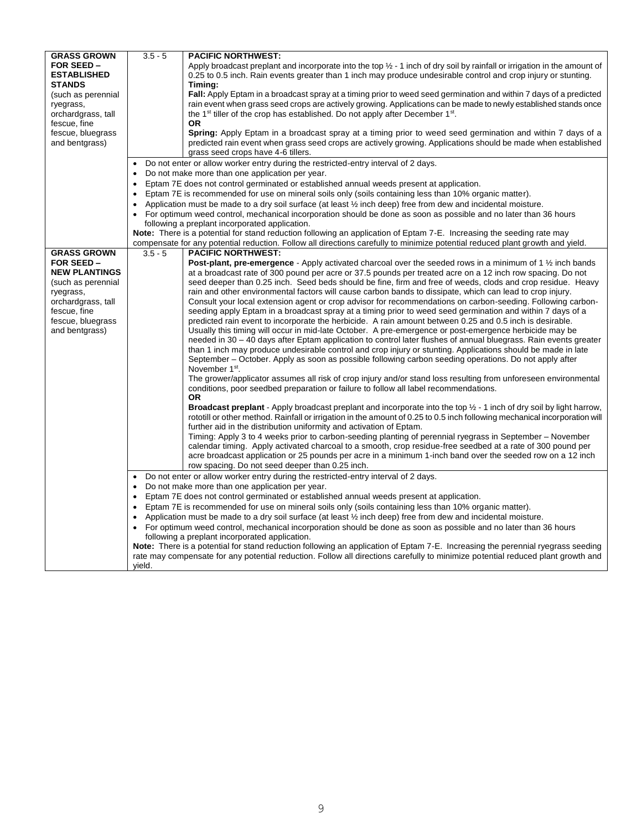| <b>GRASS GROWN</b>              | $3.5 - 5$ | <b>PACIFIC NORTHWEST:</b>                                                                                                                                                                                                                 |
|---------------------------------|-----------|-------------------------------------------------------------------------------------------------------------------------------------------------------------------------------------------------------------------------------------------|
| FOR SEED -                      |           | Apply broadcast preplant and incorporate into the top $\frac{1}{2}$ - 1 inch of dry soil by rainfall or irrigation in the amount of                                                                                                       |
| <b>ESTABLISHED</b>              |           | 0.25 to 0.5 inch. Rain events greater than 1 inch may produce undesirable control and crop injury or stunting.                                                                                                                            |
| <b>STANDS</b>                   |           | Timing:                                                                                                                                                                                                                                   |
| (such as perennial              |           | Fall: Apply Eptam in a broadcast spray at a timing prior to weed seed germination and within 7 days of a predicted                                                                                                                        |
| ryegrass,                       |           | rain event when grass seed crops are actively growing. Applications can be made to newly established stands once                                                                                                                          |
| orchardgrass, tall              |           | the 1 <sup>st</sup> tiller of the crop has established. Do not apply after December 1 <sup>st</sup> .                                                                                                                                     |
| fescue, fine                    |           | <b>OR</b>                                                                                                                                                                                                                                 |
| fescue, bluegrass               |           | <b>Spring:</b> Apply Eptam in a broadcast spray at a timing prior to weed seed germination and within 7 days of a                                                                                                                         |
| and bentgrass)                  |           | predicted rain event when grass seed crops are actively growing. Applications should be made when established                                                                                                                             |
|                                 |           | grass seed crops have 4-6 tillers.                                                                                                                                                                                                        |
|                                 | $\bullet$ | Do not enter or allow worker entry during the restricted-entry interval of 2 days.                                                                                                                                                        |
|                                 |           | Do not make more than one application per year.                                                                                                                                                                                           |
|                                 | $\bullet$ | Eptam 7E does not control germinated or established annual weeds present at application.                                                                                                                                                  |
|                                 |           | Eptam 7E is recommended for use on mineral soils only (soils containing less than 10% organic matter).                                                                                                                                    |
|                                 | $\bullet$ | Application must be made to a dry soil surface (at least $\frac{1}{2}$ inch deep) free from dew and incidental moisture.                                                                                                                  |
|                                 | $\bullet$ | For optimum weed control, mechanical incorporation should be done as soon as possible and no later than 36 hours                                                                                                                          |
|                                 |           | following a preplant incorporated application.                                                                                                                                                                                            |
|                                 |           | Note: There is a potential for stand reduction following an application of Eptam 7-E. Increasing the seeding rate may                                                                                                                     |
|                                 |           | compensate for any potential reduction. Follow all directions carefully to minimize potential reduced plant growth and yield.                                                                                                             |
| <b>GRASS GROWN</b><br>FOR SEED- | $3.5 - 5$ | <b>PACIFIC NORTHWEST:</b>                                                                                                                                                                                                                 |
| <b>NEW PLANTINGS</b>            |           | <b>Post-plant, pre-emergence</b> - Apply activated charcoal over the seeded rows in a minimum of 1 $\frac{1}{2}$ inch bands<br>at a broadcast rate of 300 pound per acre or 37.5 pounds per treated acre on a 12 inch row spacing. Do not |
| (such as perennial              |           | seed deeper than 0.25 inch. Seed beds should be fine, firm and free of weeds, clods and crop residue. Heavy                                                                                                                               |
| ryegrass,                       |           | rain and other environmental factors will cause carbon bands to dissipate, which can lead to crop injury.                                                                                                                                 |
| orchardgrass, tall              |           | Consult your local extension agent or crop advisor for recommendations on carbon-seeding. Following carbon-                                                                                                                               |
| fescue, fine                    |           | seeding apply Eptam in a broadcast spray at a timing prior to weed seed germination and within 7 days of a                                                                                                                                |
| fescue, bluegrass               |           | predicted rain event to incorporate the herbicide. A rain amount between 0.25 and 0.5 inch is desirable.                                                                                                                                  |
| and bentgrass)                  |           | Usually this timing will occur in mid-late October. A pre-emergence or post-emergence herbicide may be                                                                                                                                    |
|                                 |           | needed in 30 – 40 days after Eptam application to control later flushes of annual bluegrass. Rain events greater                                                                                                                          |
|                                 |           | than 1 inch may produce undesirable control and crop injury or stunting. Applications should be made in late                                                                                                                              |
|                                 |           | September – October. Apply as soon as possible following carbon seeding operations. Do not apply after                                                                                                                                    |
|                                 |           | November 1 <sup>st</sup> .                                                                                                                                                                                                                |
|                                 |           | The grower/applicator assumes all risk of crop injury and/or stand loss resulting from unforeseen environmental                                                                                                                           |
|                                 |           | conditions, poor seedbed preparation or failure to follow all label recommendations.                                                                                                                                                      |
|                                 |           | OR.                                                                                                                                                                                                                                       |
|                                 |           | <b>Broadcast preplant</b> - Apply broadcast preplant and incorporate into the top $\frac{1}{2}$ - 1 inch of dry soil by light harrow,                                                                                                     |
|                                 |           | rototill or other method. Rainfall or irrigation in the amount of 0.25 to 0.5 inch following mechanical incorporation will                                                                                                                |
|                                 |           | further aid in the distribution uniformity and activation of Eptam.                                                                                                                                                                       |
|                                 |           | Timing: Apply 3 to 4 weeks prior to carbon-seeding planting of perennial ryegrass in September – November<br>calendar timing. Apply activated charcoal to a smooth, crop residue-free seedbed at a rate of 300 pound per                  |
|                                 |           | acre broadcast application or 25 pounds per acre in a minimum 1-inch band over the seeded row on a 12 inch                                                                                                                                |
|                                 |           | row spacing. Do not seed deeper than 0.25 inch.                                                                                                                                                                                           |
|                                 | $\bullet$ | Do not enter or allow worker entry during the restricted-entry interval of 2 days.                                                                                                                                                        |
|                                 | $\bullet$ | Do not make more than one application per year.                                                                                                                                                                                           |
|                                 | $\bullet$ | Eptam 7E does not control germinated or established annual weeds present at application.                                                                                                                                                  |
|                                 | $\bullet$ | Eptam 7E is recommended for use on mineral soils only (soils containing less than 10% organic matter).                                                                                                                                    |
|                                 | $\bullet$ | Application must be made to a dry soil surface (at least $\frac{1}{2}$ inch deep) free from dew and incidental moisture.                                                                                                                  |
|                                 | $\bullet$ | For optimum weed control, mechanical incorporation should be done as soon as possible and no later than 36 hours                                                                                                                          |
|                                 |           | following a preplant incorporated application.                                                                                                                                                                                            |
|                                 |           | Note: There is a potential for stand reduction following an application of Eptam 7-E. Increasing the perennial ryegrass seeding                                                                                                           |
|                                 |           | rate may compensate for any potential reduction. Follow all directions carefully to minimize potential reduced plant growth and                                                                                                           |
|                                 | yield.    |                                                                                                                                                                                                                                           |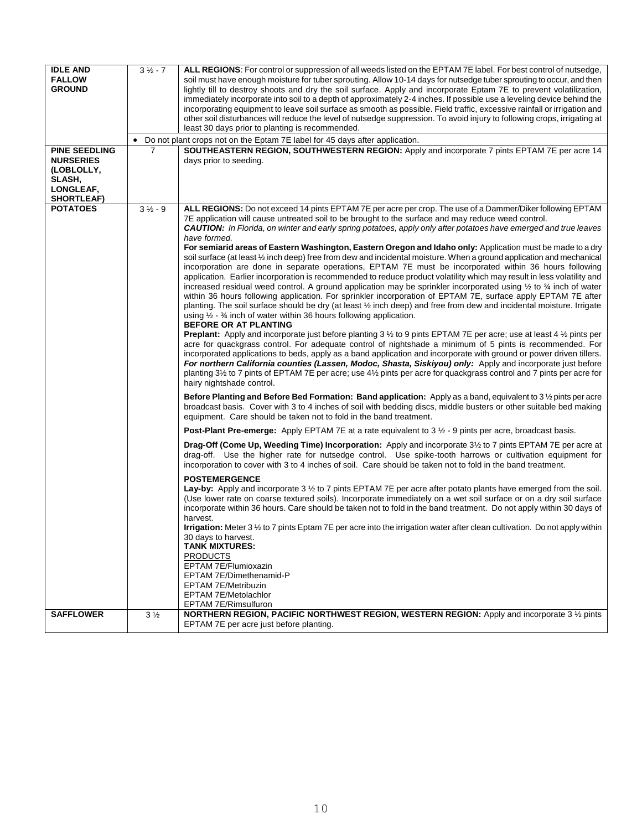| <b>IDLE AND</b>      | $31/2 - 7$     | ALL REGIONS: For control or suppression of all weeds listed on the EPTAM 7E label. For best control of nutsedge,                                                                                                                                       |
|----------------------|----------------|--------------------------------------------------------------------------------------------------------------------------------------------------------------------------------------------------------------------------------------------------------|
| <b>FALLOW</b>        |                | soil must have enough moisture for tuber sprouting. Allow 10-14 days for nutsedge tuber sprouting to occur, and then                                                                                                                                   |
| <b>GROUND</b>        |                | lightly till to destroy shoots and dry the soil surface. Apply and incorporate Eptam 7E to prevent volatilization,                                                                                                                                     |
|                      |                | immediately incorporate into soil to a depth of approximately 2-4 inches. If possible use a leveling device behind the                                                                                                                                 |
|                      |                | incorporating equipment to leave soil surface as smooth as possible. Field traffic, excessive rainfall or irrigation and                                                                                                                               |
|                      |                | other soil disturbances will reduce the level of nutsedge suppression. To avoid injury to following crops, irrigating at                                                                                                                               |
|                      |                | least 30 days prior to planting is recommended.                                                                                                                                                                                                        |
|                      | $\bullet$      | Do not plant crops not on the Eptam 7E label for 45 days after application.                                                                                                                                                                            |
| <b>PINE SEEDLING</b> | 7              | SOUTHEASTERN REGION, SOUTHWESTERN REGION: Apply and incorporate 7 pints EPTAM 7E per acre 14                                                                                                                                                           |
| <b>NURSERIES</b>     |                | days prior to seeding.                                                                                                                                                                                                                                 |
| (LOBLOLLY,           |                |                                                                                                                                                                                                                                                        |
| SLASH,               |                |                                                                                                                                                                                                                                                        |
| LONGLEAF,            |                |                                                                                                                                                                                                                                                        |
| <b>SHORTLEAF)</b>    |                |                                                                                                                                                                                                                                                        |
| <b>POTATOES</b>      | $31/2 - 9$     | ALL REGIONS: Do not exceed 14 pints EPTAM 7E per acre per crop. The use of a Dammer/Diker following EPTAM                                                                                                                                              |
|                      |                | 7E application will cause untreated soil to be brought to the surface and may reduce weed control.                                                                                                                                                     |
|                      |                | <b>CAUTION:</b> In Florida, on winter and early spring potatoes, apply only after potatoes have emerged and true leaves                                                                                                                                |
|                      |                | have formed.                                                                                                                                                                                                                                           |
|                      |                | For semiarid areas of Eastern Washington, Eastern Oregon and Idaho only: Application must be made to a dry                                                                                                                                             |
|                      |                | soil surface (at least 1/2 inch deep) free from dew and incidental moisture. When a ground application and mechanical                                                                                                                                  |
|                      |                | incorporation are done in separate operations, EPTAM 7E must be incorporated within 36 hours following                                                                                                                                                 |
|                      |                | application. Earlier incorporation is recommended to reduce product volatility which may result in less volatility and                                                                                                                                 |
|                      |                | increased residual weed control. A ground application may be sprinkler incorporated using $\frac{1}{2}$ to $\frac{3}{4}$ inch of water<br>within 36 hours following application. For sprinkler incorporation of EPTAM 7E, surface apply EPTAM 7E after |
|                      |                | planting. The soil surface should be dry (at least 1/2 inch deep) and free from dew and incidental moisture. Irrigate                                                                                                                                  |
|                      |                | using $\frac{1}{2}$ - $\frac{3}{4}$ inch of water within 36 hours following application.                                                                                                                                                               |
|                      |                | BEFORE OR AT PLANTING                                                                                                                                                                                                                                  |
|                      |                | <b>Preplant:</b> Apply and incorporate just before planting 3 $\frac{1}{2}$ to 9 pints EPTAM 7E per acre; use at least 4 $\frac{1}{2}$ pints per                                                                                                       |
|                      |                | acre for quackgrass control. For adequate control of nightshade a minimum of 5 pints is recommended. For                                                                                                                                               |
|                      |                | incorporated applications to beds, apply as a band application and incorporate with ground or power driven tillers.                                                                                                                                    |
|                      |                | For northern California counties (Lassen, Modoc, Shasta, Siskiyou) only: Apply and incorporate just before                                                                                                                                             |
|                      |                | planting 3½ to 7 pints of EPTAM 7E per acre; use 4½ pints per acre for quackgrass control and 7 pints per acre for                                                                                                                                     |
|                      |                | hairy nightshade control.                                                                                                                                                                                                                              |
|                      |                | Before Planting and Before Bed Formation: Band application: Apply as a band, equivalent to 3 1/2 pints per acre                                                                                                                                        |
|                      |                | broadcast basis. Cover with 3 to 4 inches of soil with bedding discs, middle busters or other suitable bed making                                                                                                                                      |
|                      |                | equipment. Care should be taken not to fold in the band treatment.                                                                                                                                                                                     |
|                      |                | <b>Post-Plant Pre-emerge:</b> Apply EPTAM 7E at a rate equivalent to $3\frac{1}{2}$ - 9 pints per acre, broadcast basis.                                                                                                                               |
|                      |                | Drag-Off (Come Up, Weeding Time) Incorporation: Apply and incorporate 3 <sup>1</sup> / <sub>2</sub> to 7 pints EPTAM 7E per acre at                                                                                                                    |
|                      |                | drag-off. Use the higher rate for nutsedge control. Use spike-tooth harrows or cultivation equipment for                                                                                                                                               |
|                      |                | incorporation to cover with 3 to 4 inches of soil. Care should be taken not to fold in the band treatment.                                                                                                                                             |
|                      |                | <b>POSTEMERGENCE</b>                                                                                                                                                                                                                                   |
|                      |                | Lay-by: Apply and incorporate 3 1/2 to 7 pints EPTAM 7E per acre after potato plants have emerged from the soil.                                                                                                                                       |
|                      |                | (Use lower rate on coarse textured soils). Incorporate immediately on a wet soil surface or on a dry soil surface                                                                                                                                      |
|                      |                | incorporate within 36 hours. Care should be taken not to fold in the band treatment. Do not apply within 30 days of                                                                                                                                    |
|                      |                | harvest.                                                                                                                                                                                                                                               |
|                      |                | <b>Irrigation:</b> Meter $3 \frac{1}{2}$ to 7 pints Eptam 7E per acre into the irrigation water after clean cultivation. Do not apply within                                                                                                           |
|                      |                | 30 days to harvest.                                                                                                                                                                                                                                    |
|                      |                | <b>TANK MIXTURES:</b>                                                                                                                                                                                                                                  |
|                      |                | <b>PRODUCTS</b>                                                                                                                                                                                                                                        |
|                      |                | EPTAM 7E/Flumioxazin<br>EPTAM 7E/Dimethenamid-P                                                                                                                                                                                                        |
|                      |                | <b>EPTAM 7E/Metribuzin</b>                                                                                                                                                                                                                             |
|                      |                | <b>EPTAM 7E/Metolachlor</b>                                                                                                                                                                                                                            |
|                      |                | EPTAM 7E/Rimsulfuron                                                                                                                                                                                                                                   |
| <b>SAFFLOWER</b>     | $3\frac{1}{2}$ | NORTHERN REGION, PACIFIC NORTHWEST REGION, WESTERN REGION: Apply and incorporate 3 1/2 pints                                                                                                                                                           |
|                      |                | EPTAM 7E per acre just before planting.                                                                                                                                                                                                                |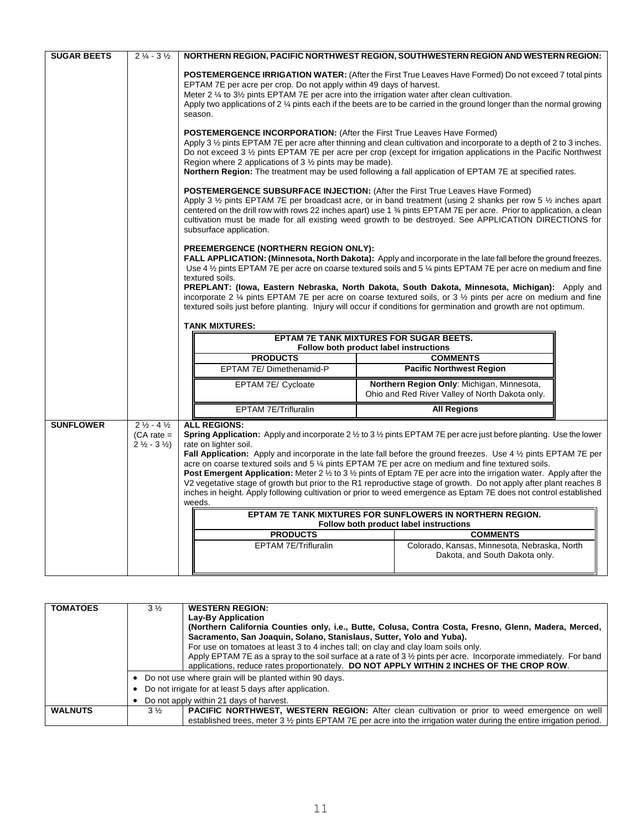| <b>SUGAR BEETS</b> | $2\frac{1}{4} - 3\frac{1}{2}$                                                  | NORTHERN REGION, PACIFIC NORTHWEST REGION, SOUTHWESTERN REGION AND WESTERN REGION:                                                                                                                                                                                                                                                                                                                                                                                                                                                                                                                                                                              |                                                                                                                                                                                                                                                                                                                                                                                                                                                                                                                                                                                                                                                                                                                                                                                                                                                                                                                                                  |  |  |
|--------------------|--------------------------------------------------------------------------------|-----------------------------------------------------------------------------------------------------------------------------------------------------------------------------------------------------------------------------------------------------------------------------------------------------------------------------------------------------------------------------------------------------------------------------------------------------------------------------------------------------------------------------------------------------------------------------------------------------------------------------------------------------------------|--------------------------------------------------------------------------------------------------------------------------------------------------------------------------------------------------------------------------------------------------------------------------------------------------------------------------------------------------------------------------------------------------------------------------------------------------------------------------------------------------------------------------------------------------------------------------------------------------------------------------------------------------------------------------------------------------------------------------------------------------------------------------------------------------------------------------------------------------------------------------------------------------------------------------------------------------|--|--|
|                    |                                                                                | <b>POSTEMERGENCE IRRIGATION WATER:</b> (After the First True Leaves Have Formed) Do not exceed 7 total pints<br>EPTAM 7E per acre per crop. Do not apply within 49 days of harvest.<br>Meter 2 $\frac{1}{4}$ to 3 $\frac{1}{2}$ pints EPTAM 7E per acre into the irrigation water after clean cultivation.<br>Apply two applications of 2 1/4 pints each if the beets are to be carried in the ground longer than the normal growing<br>season.                                                                                                                                                                                                                 |                                                                                                                                                                                                                                                                                                                                                                                                                                                                                                                                                                                                                                                                                                                                                                                                                                                                                                                                                  |  |  |
|                    |                                                                                | <b>POSTEMERGENCE INCORPORATION:</b> (After the First True Leaves Have Formed)<br>Apply 3 1/2 pints EPTAM 7E per acre after thinning and clean cultivation and incorporate to a depth of 2 to 3 inches.<br>Do not exceed 3 1/2 pints EPTAM 7E per acre per crop (except for irrigation applications in the Pacific Northwest<br>Region where 2 applications of $3\frac{1}{2}$ pints may be made).<br>Northern Region: The treatment may be used following a fall application of EPTAM 7E at specified rates.                                                                                                                                                     |                                                                                                                                                                                                                                                                                                                                                                                                                                                                                                                                                                                                                                                                                                                                                                                                                                                                                                                                                  |  |  |
|                    |                                                                                | <b>POSTEMERGENCE SUBSURFACE INJECTION: (After the First True Leaves Have Formed)</b><br>Apply 3 $\frac{1}{2}$ pints EPTAM 7E per broadcast acre, or in band treatment (using 2 shanks per row 5 $\frac{1}{2}$ inches apart<br>centered on the drill row with rows 22 inches apart) use 1 3/4 pints EPTAM 7E per acre. Prior to application, a clean<br>cultivation must be made for all existing weed growth to be destroyed. See APPLICATION DIRECTIONS for<br>subsurface application.                                                                                                                                                                         |                                                                                                                                                                                                                                                                                                                                                                                                                                                                                                                                                                                                                                                                                                                                                                                                                                                                                                                                                  |  |  |
|                    |                                                                                | PREEMERGENCE (NORTHERN REGION ONLY):<br><b>FALL APPLICATION: (Minnesota, North Dakota):</b> Apply and incorporate in the late fall before the ground freezes.<br>Use 4 1/2 pints EPTAM 7E per acre on coarse textured soils and 5 1/4 pints EPTAM 7E per acre on medium and fine<br>textured soils.<br>PREPLANT: (Iowa, Eastern Nebraska, North Dakota, South Dakota, Minnesota, Michigan): Apply and<br>incorporate 2 $\frac{1}{4}$ pints EPTAM 7E per acre on coarse textured soils, or 3 $\frac{1}{2}$ pints per acre on medium and fine<br>textured soils just before planting. Injury will occur if conditions for germination and growth are not optimum. |                                                                                                                                                                                                                                                                                                                                                                                                                                                                                                                                                                                                                                                                                                                                                                                                                                                                                                                                                  |  |  |
|                    |                                                                                |                                                                                                                                                                                                                                                                                                                                                                                                                                                                                                                                                                                                                                                                 |                                                                                                                                                                                                                                                                                                                                                                                                                                                                                                                                                                                                                                                                                                                                                                                                                                                                                                                                                  |  |  |
|                    |                                                                                | <b>TANK MIXTURES:</b>                                                                                                                                                                                                                                                                                                                                                                                                                                                                                                                                                                                                                                           |                                                                                                                                                                                                                                                                                                                                                                                                                                                                                                                                                                                                                                                                                                                                                                                                                                                                                                                                                  |  |  |
|                    |                                                                                |                                                                                                                                                                                                                                                                                                                                                                                                                                                                                                                                                                                                                                                                 | EPTAM 7E TANK MIXTURES FOR SUGAR BEETS.<br>Follow both product label instructions                                                                                                                                                                                                                                                                                                                                                                                                                                                                                                                                                                                                                                                                                                                                                                                                                                                                |  |  |
|                    |                                                                                | <b>PRODUCTS</b>                                                                                                                                                                                                                                                                                                                                                                                                                                                                                                                                                                                                                                                 | <b>COMMENTS</b>                                                                                                                                                                                                                                                                                                                                                                                                                                                                                                                                                                                                                                                                                                                                                                                                                                                                                                                                  |  |  |
|                    |                                                                                | EPTAM 7E/ Dimethenamid-P                                                                                                                                                                                                                                                                                                                                                                                                                                                                                                                                                                                                                                        | <b>Pacific Northwest Region</b>                                                                                                                                                                                                                                                                                                                                                                                                                                                                                                                                                                                                                                                                                                                                                                                                                                                                                                                  |  |  |
|                    |                                                                                | EPTAM 7E/ Cycloate                                                                                                                                                                                                                                                                                                                                                                                                                                                                                                                                                                                                                                              | Northern Region Only: Michigan, Minnesota,<br>Ohio and Red River Valley of North Dakota only.                                                                                                                                                                                                                                                                                                                                                                                                                                                                                                                                                                                                                                                                                                                                                                                                                                                    |  |  |
|                    |                                                                                | EPTAM 7E/Trifluralin                                                                                                                                                                                                                                                                                                                                                                                                                                                                                                                                                                                                                                            | <b>All Regions</b>                                                                                                                                                                                                                                                                                                                                                                                                                                                                                                                                                                                                                                                                                                                                                                                                                                                                                                                               |  |  |
| <b>SUNFLOWER</b>   | $2\frac{1}{2} - 4\frac{1}{2}$<br>$(CA rate =$<br>$2\frac{1}{2} - 3\frac{1}{2}$ | <b>ALL REGIONS:</b><br>rate on lighter soil.<br>weeds.<br><b>PRODUCTS</b><br>EPTAM 7E/Trifluralin                                                                                                                                                                                                                                                                                                                                                                                                                                                                                                                                                               | <b>Spring Application:</b> Apply and incorporate 2 $\frac{1}{2}$ to 3 $\frac{1}{2}$ pints EPTAM 7E per acre just before planting. Use the lower<br>Fall Application: Apply and incorporate in the late fall before the ground freezes. Use 4 1/2 pints EPTAM 7E per<br>acre on coarse textured soils and 5 % pints EPTAM 7E per acre on medium and fine textured soils.<br><b>Post Emergent Application:</b> Meter 2 $\frac{1}{2}$ to 3 $\frac{1}{2}$ pints of Eptam 7E per acre into the irrigation water. Apply after the<br>V2 vegetative stage of growth but prior to the R1 reproductive stage of growth. Do not apply after plant reaches 8<br>inches in height. Apply following cultivation or prior to weed emergence as Eptam 7E does not control established<br>EPTAM 7E TANK MIXTURES FOR SUNFLOWERS IN NORTHERN REGION.<br>Follow both product label instructions<br><b>COMMENTS</b><br>Colorado, Kansas, Minnesota, Nebraska, North |  |  |

| <b>TOMATOES</b> | $3\%$ | <b>WESTERN REGION:</b>                                                                                                         |  |  |
|-----------------|-------|--------------------------------------------------------------------------------------------------------------------------------|--|--|
|                 |       | Lay-By Application                                                                                                             |  |  |
|                 |       | (Northern California Counties only, i.e., Butte, Colusa, Contra Costa, Fresno, Glenn, Madera, Merced,                          |  |  |
|                 |       | Sacramento, San Joaquin, Solano, Stanislaus, Sutter, Yolo and Yuba).                                                           |  |  |
|                 |       | For use on tomatoes at least 3 to 4 inches tall; on clay and clay loam soils only.                                             |  |  |
|                 |       | Apply EPTAM 7E as a spray to the soil surface at a rate of 3 $\frac{1}{2}$ pints per acre. Incorporate immediately. For band   |  |  |
|                 |       | applications, reduce rates proportionately. DO NOT APPLY WITHIN 2 INCHES OF THE CROP ROW.                                      |  |  |
|                 |       | Do not use where grain will be planted within 90 days.                                                                         |  |  |
|                 |       | Do not irrigate for at least 5 days after application.                                                                         |  |  |
|                 |       | Do not apply within 21 days of harvest.                                                                                        |  |  |
| <b>WALNUTS</b>  | $3\%$ | <b>PACIFIC NORTHWEST, WESTERN REGION:</b> After clean cultivation or prior to weed emergence on well                           |  |  |
|                 |       | established trees, meter $3\frac{1}{2}$ pints EPTAM 7E per acre into the irrigation water during the entire irrigation period. |  |  |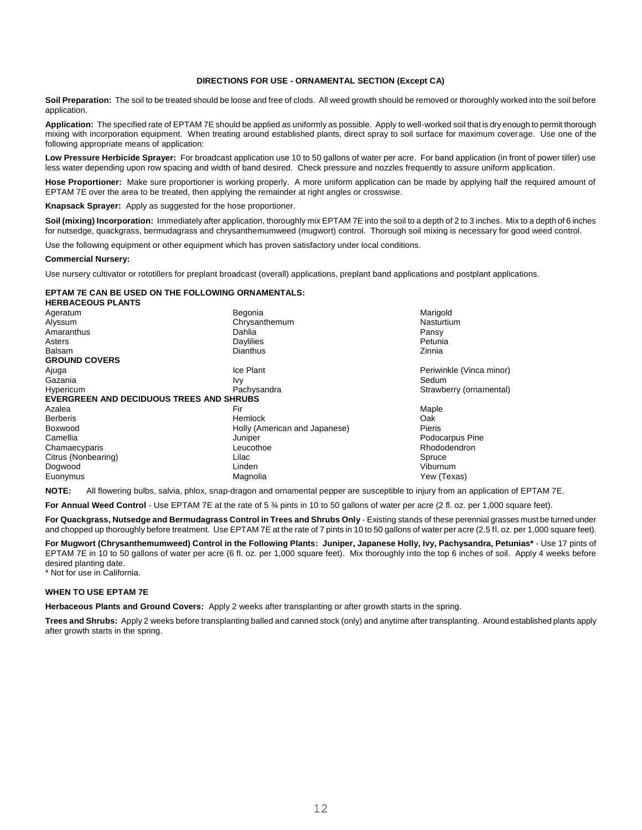## **DIRECTIONS FOR USE - ORNAMENTAL SECTION (Except CA)**

**Soil Preparation:** The soil to be treated should be loose and free of clods. All weed growth should be removed or thoroughly worked into the soil before application.

**Application:** The specified rate of EPTAM 7E should be applied as uniformly as possible. Apply to well-worked soil that is dry enough to permit thorough mixing with incorporation equipment. When treating around established plants, direct spray to soil surface for maximum coverage. Use one of the following appropriate means of application:

Low Pressure Herbicide Sprayer: For broadcast application use 10 to 50 gallons of water per acre. For band application (in front of power tiller) use less water depending upon row spacing and width of band desired. Check pressure and nozzles frequently to assure uniform application.

**Hose Proportioner:** Make sure proportioner is working properly. A more uniform application can be made by applying half the required amount of EPTAM 7E over the area to be treated, then applying the remainder at right angles or crosswise.

**Knapsack Sprayer:** Apply as suggested for the hose proportioner.

**Soil (mixing) Incorporation:** Immediately after application, thoroughly mix EPTAM 7E into the soil to a depth of 2 to 3 inches. Mix to a depth of 6 inches for nutsedge, quackgrass, bermudagrass and chrysanthemumweed (mugwort) control. Thorough soil mixing is necessary for good weed control.

Use the following equipment or other equipment which has proven satisfactory under local conditions.

## **Commercial Nursery:**

Use nursery cultivator or rototillers for preplant broadcast (overall) applications, preplant band applications and postplant applications.

## **EPTAM 7E CAN BE USED ON THE FOLLOWING ORNAMENTALS:**

| <b>HERBACEOUS PLANTS</b>                        |                               |                          |
|-------------------------------------------------|-------------------------------|--------------------------|
| Ageratum                                        | Begonia                       | Marigold                 |
| Alyssum                                         | Chrysanthemum                 | Nasturtium               |
| Amaranthus                                      | Dahlia                        | Pansy                    |
| Asters                                          | Daylilies                     | Petunia                  |
| <b>Balsam</b>                                   | Dianthus                      | Zinnia                   |
| <b>GROUND COVERS</b>                            |                               |                          |
| Ajuga                                           | Ice Plant                     | Periwinkle (Vinca minor) |
| Gazania                                         | Ivy                           | Sedum                    |
| Hypericum                                       | Pachysandra                   | Strawberry (ornamental)  |
| <b>EVERGREEN AND DECIDUOUS TREES AND SHRUBS</b> |                               |                          |
| Azalea                                          | Fir                           | Maple                    |
| <b>Berberis</b>                                 | Hemlock                       | Oak                      |
| Boxwood                                         | Holly (American and Japanese) | Pieris                   |
| Camellia                                        | Juniper                       | Podocarpus Pine          |
| Chamaecyparis                                   | Leucothoe                     | Rhododendron             |
| Citrus (Nonbearing)                             | Lilac                         | Spruce                   |
| Dogwood                                         | Linden                        | Viburnum                 |
| Euonymus                                        | Magnolia                      | Yew (Texas)              |

**NOTE:** All flowering bulbs, salvia, phlox, snap-dragon and ornamental pepper are susceptible to injury from an application of EPTAM 7E.

For Annual Weed Control - Use EPTAM 7E at the rate of 5 % pints in 10 to 50 gallons of water per acre (2 fl. oz. per 1,000 square feet).

**For Quackgrass, Nutsedge and Bermudagrass Control in Trees and Shrubs Only** - Existing stands of these perennial grasses must be turned under and chopped up thoroughly before treatment. Use EPTAM 7E at the rate of 7 pints in 10 to 50 gallons of water per acre (2.5 fl. oz. per 1,000 square feet).

**For Mugwort (Chrysanthemumweed) Control in the Following Plants: Juniper, Japanese Holly, Ivy, Pachysandra, Petunias\*** - Use 17 pints of EPTAM 7E in 10 to 50 gallons of water per acre (6 fl. oz. per 1,000 square feet). Mix thoroughly into the top 6 inches of soil. Apply 4 weeks before desired planting date.

\* Not for use in California.

## **WHEN TO USE EPTAM 7E**

**Herbaceous Plants and Ground Covers:** Apply 2 weeks after transplanting or after growth starts in the spring.

**Trees and Shrubs:** Apply 2 weeks before transplanting balled and canned stock (only) and anytime after transplanting. Around established plants apply after growth starts in the spring.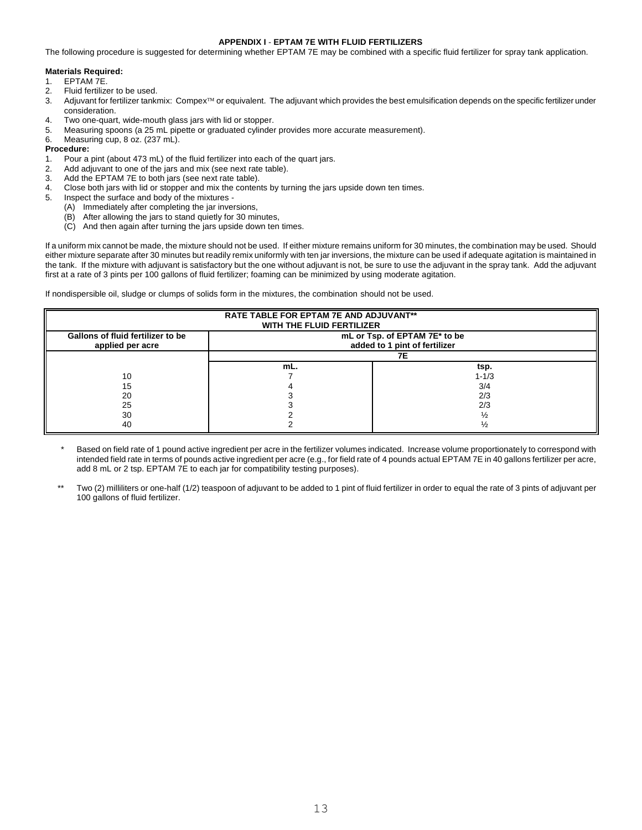## **APPENDIX I** - **EPTAM 7E WITH FLUID FERTILIZERS**

The following procedure is suggested for determining whether EPTAM 7E may be combined with a specific fluid fertilizer for spray tank application.

## **Materials Required:**

- 1. EPTAM 7E.<br>2. Fluid fertilize
- Fluid fertilizer to be used.
- 3. Adjuvant for fertilizer tankmix: Compex™ or equivalent. The adjuvant which provides the best emulsification depends on the specific fertilizer under consideration.
- 4. Two one-quart, wide-mouth glass jars with lid or stopper.
- 5. Measuring spoons (a 25 mL pipette or graduated cylinder provides more accurate measurement).
- 6. Measuring cup, 8 oz. (237 mL). **Procedure:**
- 1. Pour a pint (about 473 mL) of the fluid fertilizer into each of the quart jars.
- 2. Add adjuvant to one of the jars and mix (see next rate table).<br>3. Add the FPTAM ZF to both jars (see next rate table)
- Add the EPTAM 7E to both jars (see next rate table).
- 4. Close both jars with lid or stopper and mix the contents by turning the jars upside down ten times.
- 5. Inspect the surface and body of the mixtures
	- (A) Immediately after completing the jar inversions,
	- (B) After allowing the jars to stand quietly for 30 minutes,
	- (C) And then again after turning the jars upside down ten times.

If a uniform mix cannot be made, the mixture should not be used. If either mixture remains uniform for 30 minutes, the combination may be used. Should either mixture separate after 30 minutes but readily remix uniformly with ten jar inversions, the mixture can be used if adequate agitation is maintained in the tank. If the mixture with adjuvant is satisfactory but the one without adjuvant is not, be sure to use the adjuvant in the spray tank. Add the adjuvant first at a rate of 3 pints per 100 gallons of fluid fertilizer; foaming can be minimized by using moderate agitation.

If nondispersible oil, sludge or clumps of solids form in the mixtures, the combination should not be used.

| <b>RATE TABLE FOR EPTAM 7E AND ADJUVANT**</b><br>WITH THE FLUID FERTILIZER |                                                                |           |  |  |  |
|----------------------------------------------------------------------------|----------------------------------------------------------------|-----------|--|--|--|
| Gallons of fluid fertilizer to be<br>applied per acre                      | mL or Tsp. of EPTAM 7E* to be<br>added to 1 pint of fertilizer |           |  |  |  |
|                                                                            | 7Ε                                                             |           |  |  |  |
|                                                                            | mL.                                                            | tsp.      |  |  |  |
| 10                                                                         |                                                                | $1 - 1/3$ |  |  |  |
| 15                                                                         |                                                                | 3/4       |  |  |  |
| 20                                                                         |                                                                | 2/3       |  |  |  |
| 25                                                                         |                                                                | 2/3       |  |  |  |
| 30                                                                         |                                                                | ソっ        |  |  |  |
| 40                                                                         |                                                                | ソっ        |  |  |  |

- Based on field rate of 1 pound active ingredient per acre in the fertilizer volumes indicated. Increase volume proportionately to correspond with intended field rate in terms of pounds active ingredient per acre (e.g., for field rate of 4 pounds actual EPTAM 7E in 40 gallons fertilizer per acre, add 8 mL or 2 tsp. EPTAM 7E to each jar for compatibility testing purposes).
- Two (2) milliliters or one-half (1/2) teaspoon of adjuvant to be added to 1 pint of fluid fertilizer in order to equal the rate of 3 pints of adjuvant per 100 gallons of fluid fertilizer.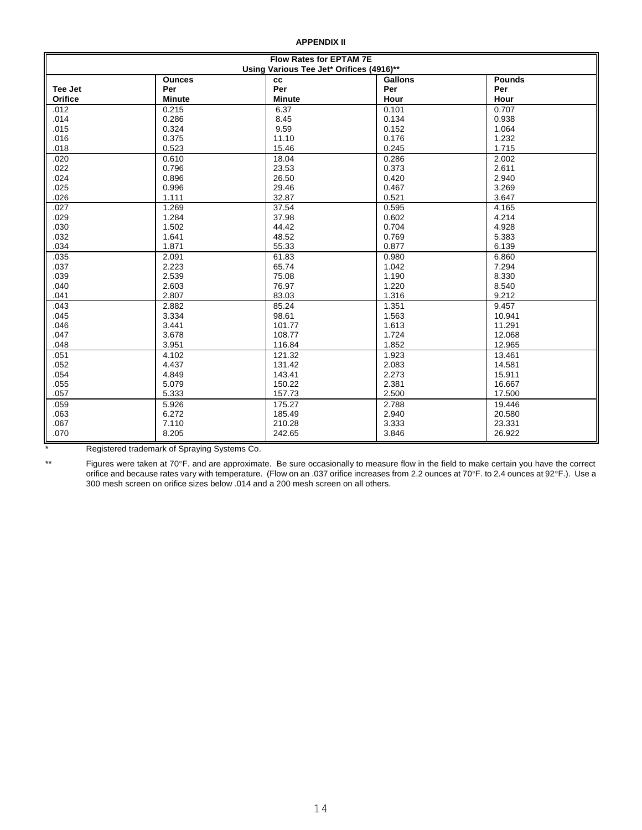**APPENDIX II**

| <b>Flow Rates for EPTAM 7E</b><br>Using Various Tee Jet* Orifices (4916)** |               |               |       |        |  |  |
|----------------------------------------------------------------------------|---------------|---------------|-------|--------|--|--|
| <b>Pounds</b><br><b>Ounces</b><br><b>Gallons</b><br><b>CC</b>              |               |               |       |        |  |  |
| Tee Jet                                                                    | Per           | Per           | Per   | Per    |  |  |
| Orifice                                                                    | <b>Minute</b> | <b>Minute</b> | Hour  | Hour   |  |  |
| .012                                                                       | 0.215         | 6.37          | 0.101 | 0.707  |  |  |
| .014                                                                       | 0.286         | 8.45          | 0.134 | 0.938  |  |  |
| .015                                                                       | 0.324         | 9.59          | 0.152 | 1.064  |  |  |
| .016                                                                       | 0.375         | 11.10         | 0.176 | 1.232  |  |  |
| .018                                                                       | 0.523         | 15.46         | 0.245 | 1.715  |  |  |
| .020                                                                       | 0.610         | 18.04         | 0.286 | 2.002  |  |  |
| .022                                                                       | 0.796         | 23.53         | 0.373 | 2.611  |  |  |
| .024                                                                       | 0.896         | 26.50         | 0.420 | 2.940  |  |  |
| .025                                                                       | 0.996         | 29.46         | 0.467 | 3.269  |  |  |
| .026                                                                       | 1.111         | 32.87         | 0.521 | 3.647  |  |  |
| .027                                                                       | 1.269         | 37.54         | 0.595 | 4.165  |  |  |
| .029                                                                       | 1.284         | 37.98         | 0.602 | 4.214  |  |  |
| .030                                                                       | 1.502         | 44.42         | 0.704 | 4.928  |  |  |
| .032                                                                       | 1.641         | 48.52         | 0.769 | 5.383  |  |  |
| .034                                                                       | 1.871         | 55.33         | 0.877 | 6.139  |  |  |
| .035                                                                       | 2.091         | 61.83         | 0.980 | 6.860  |  |  |
| .037                                                                       | 2.223         | 65.74         | 1.042 | 7.294  |  |  |
| .039                                                                       | 2.539         | 75.08         | 1.190 | 8.330  |  |  |
| .040                                                                       | 2.603         | 76.97         | 1.220 | 8.540  |  |  |
| .041                                                                       | 2.807         | 83.03         | 1.316 | 9.212  |  |  |
| .043                                                                       | 2.882         | 85.24         | 1.351 | 9.457  |  |  |
| .045                                                                       | 3.334         | 98.61         | 1.563 | 10.941 |  |  |
| .046                                                                       | 3.441         | 101.77        | 1.613 | 11.291 |  |  |
| .047                                                                       | 3.678         | 108.77        | 1.724 | 12.068 |  |  |
| .048                                                                       | 3.951         | 116.84        | 1.852 | 12.965 |  |  |
| .051                                                                       | 4.102         | 121.32        | 1.923 | 13.461 |  |  |
| .052                                                                       | 4.437         | 131.42        | 2.083 | 14.581 |  |  |
| .054                                                                       | 4.849         | 143.41        | 2.273 | 15.911 |  |  |
| .055                                                                       | 5.079         | 150.22        | 2.381 | 16.667 |  |  |
| .057                                                                       | 5.333         | 157.73        | 2.500 | 17.500 |  |  |
| .059                                                                       | 5.926         | 175.27        | 2.788 | 19.446 |  |  |
| .063                                                                       | 6.272         | 185.49        | 2.940 | 20.580 |  |  |
| .067                                                                       | 7.110         | 210.28        | 3.333 | 23.331 |  |  |
| .070                                                                       | 8.205         | 242.65        | 3.846 | 26.922 |  |  |

Registered trademark of Spraying Systems Co.

\*\* Figures were taken at 70F. and are approximate. Be sure occasionally to measure flow in the field to make certain you have the correct orifice and because rates vary with temperature. (Flow on an .037 orifice increases from 2.2 ounces at 70°F. to 2.4 ounces at 92°F.). Use a 300 mesh screen on orifice sizes below .014 and a 200 mesh screen on all others.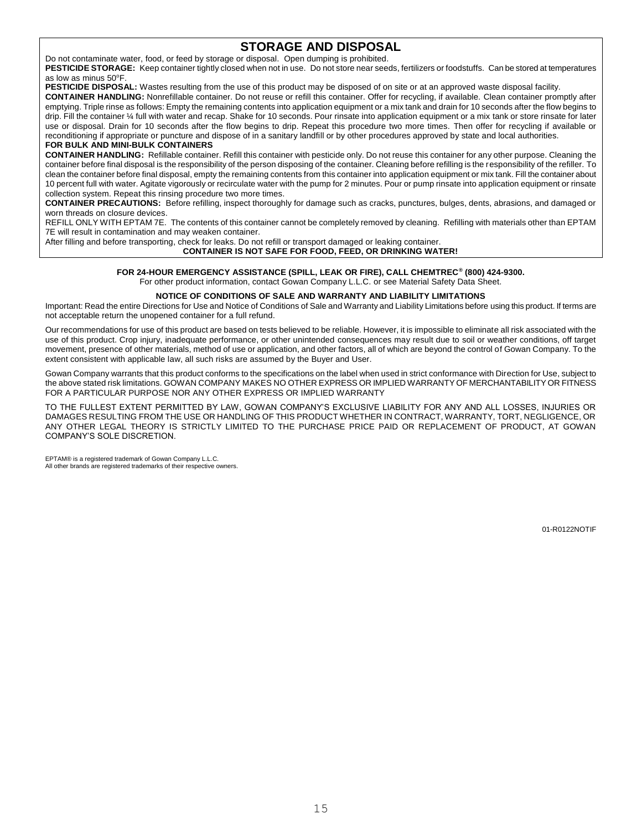## **STORAGE AND DISPOSAL**

Do not contaminate water, food, or feed by storage or disposal. Open dumping is prohibited.

**PESTICIDE STORAGE:** Keep container tightly closed when not in use. Do not store near seeds, fertilizers or foodstuffs. Can be stored at temperatures as low as minus  $50^{\circ}$ F.

PESTICIDE DISPOSAL: Wastes resulting from the use of this product may be disposed of on site or at an approved waste disposal facility.

**CONTAINER HANDLING:** Nonrefillable container. Do not reuse or refill this container. Offer for recycling, if available. Clean container promptly after emptying. Triple rinse as follows: Empty the remaining contents into application equipment or a mix tank and drain for 10 seconds after the flow begins to drip. Fill the container ¼ full with water and recap. Shake for 10 seconds. Pour rinsate into application equipment or a mix tank or store rinsate for later use or disposal. Drain for 10 seconds after the flow begins to drip. Repeat this procedure two more times. Then offer for recycling if available or reconditioning if appropriate or puncture and dispose of in a sanitary landfill or by other procedures approved by state and local authorities. **FOR BULK AND MINI-BULK CONTAINERS**

**CONTAINER HANDLING:** Refillable container. Refill this container with pesticide only. Do not reuse this container for any other purpose. Cleaning the container before final disposal is the responsibility of the person disposing of the container. Cleaning before refilling is the responsibility of the refiller. To clean the container before final disposal, empty the remaining contents from this container into application equipment or mix tank. Fill the container about 10 percent full with water. Agitate vigorously or recirculate water with the pump for 2 minutes. Pour or pump rinsate into application equipment or rinsate collection system. Repeat this rinsing procedure two more times.

**CONTAINER PRECAUTIONS:** Before refilling, inspect thoroughly for damage such as cracks, punctures, bulges, dents, abrasions, and damaged or worn threads on closure devices.

REFILL ONLY WITH EPTAM 7E. The contents of this container cannot be completely removed by cleaning. Refilling with materials other than EPTAM 7E will result in contamination and may weaken container.

After filling and before transporting, check for leaks. Do not refill or transport damaged or leaking container.

**CONTAINER IS NOT SAFE FOR FOOD, FEED, OR DRINKING WATER!**

## **FOR 24-HOUR EMERGENCY ASSISTANCE (SPILL, LEAK OR FIRE), CALL CHEMTREC® (800) 424-9300.**

For other product information, contact Gowan Company L.L.C. or see Material Safety Data Sheet.

## **NOTICE OF CONDITIONS OF SALE AND WARRANTY AND LIABILITY LIMITATIONS**

Important: Read the entire Directions for Use and Notice of Conditions of Sale and Warranty and Liability Limitations before using this product. If terms are not acceptable return the unopened container for a full refund.

Our recommendations for use of this product are based on tests believed to be reliable. However, it is impossible to eliminate all risk associated with the use of this product. Crop injury, inadequate performance, or other unintended consequences may result due to soil or weather conditions, off target movement, presence of other materials, method of use or application, and other factors, all of which are beyond the control of Gowan Company. To the extent consistent with applicable law, all such risks are assumed by the Buyer and User.

Gowan Company warrants that this product conforms to the specifications on the label when used in strict conformance with Direction for Use, subject to the above stated risk limitations. GOWAN COMPANY MAKES NO OTHER EXPRESS OR IMPLIED WARRANTY OF MERCHANTABILITY OR FITNESS FOR A PARTICULAR PURPOSE NOR ANY OTHER EXPRESS OR IMPLIED WARRANTY

TO THE FULLEST EXTENT PERMITTED BY LAW, GOWAN COMPANY'S EXCLUSIVE LIABILITY FOR ANY AND ALL LOSSES, INJURIES OR DAMAGES RESULTING FROM THE USE OR HANDLING OF THIS PRODUCT WHETHER IN CONTRACT, WARRANTY, TORT, NEGLIGENCE, OR ANY OTHER LEGAL THEORY IS STRICTLY LIMITED TO THE PURCHASE PRICE PAID OR REPLACEMENT OF PRODUCT, AT GOWAN COMPANY'S SOLE DISCRETION.

EPTAM® is a registered trademark of Gowan Company L.L.C. All other brands are registered trademarks of their respective owners.

01-R0122NOTIF